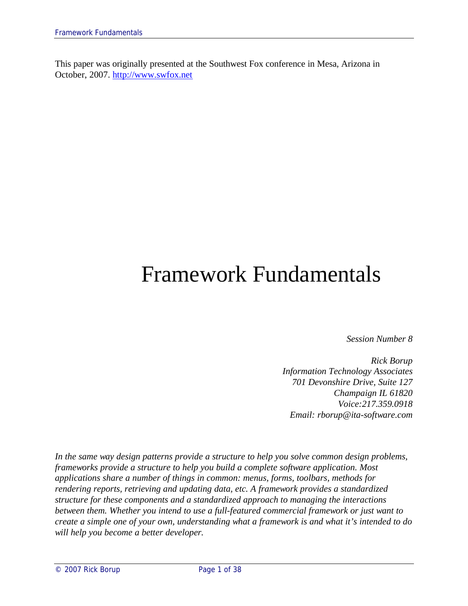This paper was originally presented at the Southwest Fox conference in Mesa, Arizona in October, 2007. http://www.swfox.net

# Framework Fundamentals

*Session Number 8*

*Rick Borup Information Technology Associates 701 Devonshire Drive, Suite 127 Champaign IL 61820 Voice:217.359.0918 Email: rborup@ita-software.com*

*In the same way design patterns provide a structure to help you solve common design problems, frameworks provide a structure to help you build a complete software application. Most applications share a number of things in common: menus, forms, toolbars, methods for rendering reports, retrieving and updating data, etc. A framework provides a standardized structure for these components and a standardized approach to managing the interactions between them. Whether you intend to use a full-featured commercial framework or just want to create a simple one of your own, understanding what a framework is and what it's intended to do will help you become a better developer.*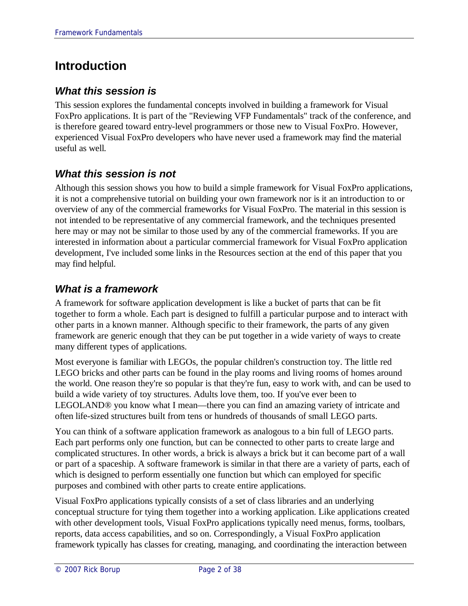# **Introduction**

### *What this session is*

This session explores the fundamental concepts involved in building a framework for Visual FoxPro applications. It is part of the "Reviewing VFP Fundamentals" track of the conference, and is therefore geared toward entry-level programmers or those new to Visual FoxPro. However, experienced Visual FoxPro developers who have never used a framework may find the material useful as well.

### *What this session is not*

Although this session shows you how to build a simple framework for Visual FoxPro applications, it is not a comprehensive tutorial on building your own framework nor is it an introduction to or overview of any of the commercial frameworks for Visual FoxPro. The material in this session is not intended to be representative of any commercial framework, and the techniques presented here may or may not be similar to those used by any of the commercial frameworks. If you are interested in information about a particular commercial framework for Visual FoxPro application development, I've included some links in the Resources section at the end of this paper that you may find helpful.

### *What is a framework*

A framework for software application development is like a bucket of parts that can be fit together to form a whole. Each part is designed to fulfill a particular purpose and to interact with other parts in a known manner. Although specific to their framework, the parts of any given framework are generic enough that they can be put together in a wide variety of ways to create many different types of applications.

Most everyone is familiar with LEGOs, the popular children's construction toy. The little red LEGO bricks and other parts can be found in the play rooms and living rooms of homes around the world. One reason they're so popular is that they're fun, easy to work with, and can be used to build a wide variety of toy structures. Adults love them, too. If you've ever been to LEGOLAND® you know what I mean—there you can find an amazing variety of intricate and often life-sized structures built from tens or hundreds of thousands of small LEGO parts.

You can think of a software application framework as analogous to a bin full of LEGO parts. Each part performs only one function, but can be connected to other parts to create large and complicated structures. In other words, a brick is always a brick but it can become part of a wall or part of a spaceship. A software framework is similar in that there are a variety of parts, each of which is designed to perform essentially one function but which can employed for specific purposes and combined with other parts to create entire applications.

Visual FoxPro applications typically consists of a set of class libraries and an underlying conceptual structure for tying them together into a working application. Like applications created with other development tools, Visual FoxPro applications typically need menus, forms, toolbars, reports, data access capabilities, and so on. Correspondingly, a Visual FoxPro application framework typically has classes for creating, managing, and coordinating the interaction between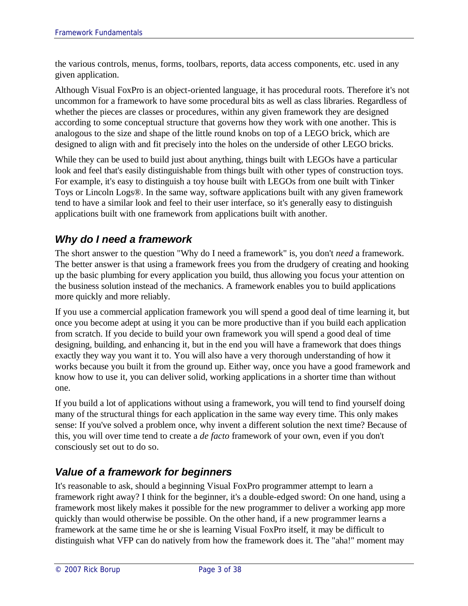the various controls, menus, forms, toolbars, reports, data access components, etc. used in any given application.

Although Visual FoxPro is an object-oriented language, it has procedural roots. Therefore it's not uncommon for a framework to have some procedural bits as well as class libraries. Regardless of whether the pieces are classes or procedures, within any given framework they are designed according to some conceptual structure that governs how they work with one another. This is analogous to the size and shape of the little round knobs on top of a LEGO brick, which are designed to align with and fit precisely into the holes on the underside of other LEGO bricks.

While they can be used to build just about anything, things built with LEGOs have a particular look and feel that's easily distinguishable from things built with other types of construction toys. For example, it's easy to distinguish a toy house built with LEGOs from one built with Tinker Toys or Lincoln Logs®. In the same way, software applications built with any given framework tend to have a similar look and feel to their user interface, so it's generally easy to distinguish applications built with one framework from applications built with another.

### *Why do I need a framework*

The short answer to the question "Why do I need a framework" is, you don't *need* a framework. The better answer is that using a framework frees you from the drudgery of creating and hooking up the basic plumbing for every application you build, thus allowing you focus your attention on the business solution instead of the mechanics. A framework enables you to build applications more quickly and more reliably.

If you use a commercial application framework you will spend a good deal of time learning it, but once you become adept at using it you can be more productive than if you build each application from scratch. If you decide to build your own framework you will spend a good deal of time designing, building, and enhancing it, but in the end you will have a framework that does things exactly they way you want it to. You will also have a very thorough understanding of how it works because you built it from the ground up. Either way, once you have a good framework and know how to use it, you can deliver solid, working applications in a shorter time than without one.

If you build a lot of applications without using a framework, you will tend to find yourself doing many of the structural things for each application in the same way every time. This only makes sense: If you've solved a problem once, why invent a different solution the next time? Because of this, you will over time tend to create a *de facto* framework of your own, even if you don't consciously set out to do so.

### *Value of a framework for beginners*

It's reasonable to ask, should a beginning Visual FoxPro programmer attempt to learn a framework right away? I think for the beginner, it's a double-edged sword: On one hand, using a framework most likely makes it possible for the new programmer to deliver a working app more quickly than would otherwise be possible. On the other hand, if a new programmer learns a framework at the same time he or she is learning Visual FoxPro itself, it may be difficult to distinguish what VFP can do natively from how the framework does it. The "aha!" moment may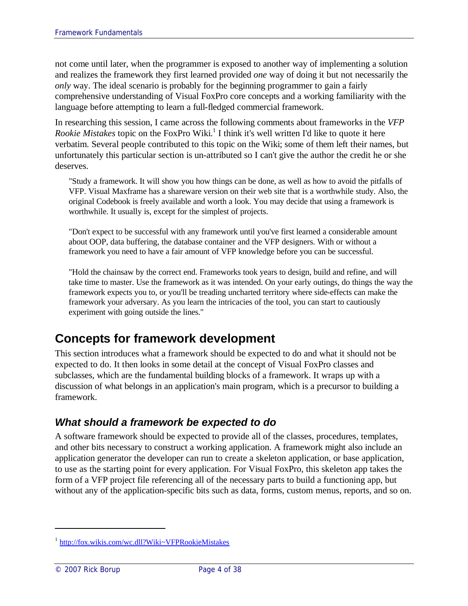not come until later, when the programmer is exposed to another way of implementing a solution and realizes the framework they first learned provided *one* way of doing it but not necessarily the *only* way. The ideal scenario is probably for the beginning programmer to gain a fairly comprehensive understanding of Visual FoxPro core concepts and a working familiarity with the language before attempting to learn a full-fledged commercial framework.

In researching this session, I came across the following comments about frameworks in the *VFP Rookie Mistakes* topic on the FoxPro Wiki. 1 I think it's well written I'd like to quote it here verbatim. Several people contributed to this topic on the Wiki; some of them left their names, but unfortunately this particular section is un-attributed so I can't give the author the credit he or she deserves.

"Study a framework. It will show you how things can be done, as well as how to avoid the pitfalls of VFP. Visual Maxframe has a shareware version on their web site that is a worthwhile study. Also, the original Codebook is freely available and worth a look. You may decide that using a framework is worthwhile. It usually is, except for the simplest of projects.

"Don't expect to be successful with any framework until you've first learned a considerable amount about OOP, data buffering, the database container and the VFP designers. With or without a framework you need to have a fair amount of VFP knowledge before you can be successful.

"Hold the chainsaw by the correct end. Frameworks took years to design, build and refine, and will take time to master. Use the framework as it was intended. On your early outings, do things the way the framework expects you to, or you'll be treading uncharted territory where side-effects can make the framework your adversary. As you learn the intricacies of the tool, you can start to cautiously experiment with going outside the lines."

# **Concepts for framework development**

This section introduces what a framework should be expected to do and what it should not be expected to do. It then looks in some detail at the concept of Visual FoxPro classes and subclasses, which are the fundamental building blocks of a framework. It wraps up with a discussion of what belongs in an application's main program, which is a precursor to building a framework.

### *What should a framework be expected to do*

A software framework should be expected to provide all of the classes, procedures, templates, and other bits necessary to construct a working application. A framework might also include an application generator the developer can run to create a skeleton application, or base application, to use as the starting point for every application. For Visual FoxPro, this skeleton app takes the form of a VFP project file referencing all of the necessary parts to build a functioning app, but without any of the application-specific bits such as data, forms, custom menus, reports, and so on.

<sup>&</sup>lt;sup>1</sup> http://fox.wikis.com/wc.dll?Wiki~VFPRookieMistakes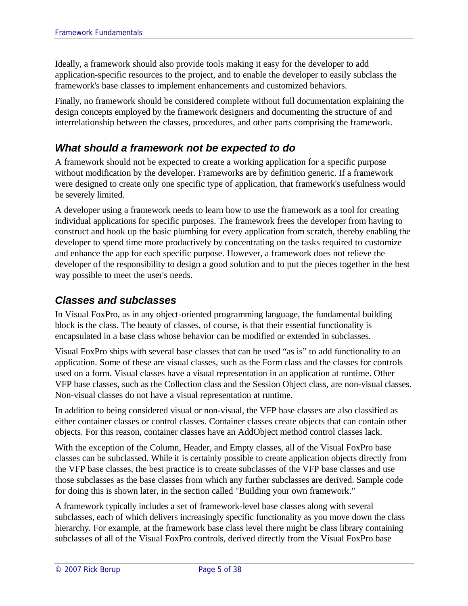Ideally, a framework should also provide tools making it easy for the developer to add application-specific resources to the project, and to enable the developer to easily subclass the framework's base classes to implement enhancements and customized behaviors.

Finally, no framework should be considered complete without full documentation explaining the design concepts employed by the framework designers and documenting the structure of and interrelationship between the classes, procedures, and other parts comprising the framework.

### *What should a framework not be expected to do*

A framework should not be expected to create a working application for a specific purpose without modification by the developer. Frameworks are by definition generic. If a framework were designed to create only one specific type of application, that framework's usefulness would be severely limited.

A developer using a framework needs to learn how to use the framework as a tool for creating individual applications for specific purposes. The framework frees the developer from having to construct and hook up the basic plumbing for every application from scratch, thereby enabling the developer to spend time more productively by concentrating on the tasks required to customize and enhance the app for each specific purpose. However, a framework does not relieve the developer of the responsibility to design a good solution and to put the pieces together in the best way possible to meet the user's needs.

### *Classes and subclasses*

In Visual FoxPro, as in any object-oriented programming language, the fundamental building block is the class. The beauty of classes, of course, is that their essential functionality is encapsulated in a base class whose behavior can be modified or extended in subclasses.

Visual FoxPro ships with several base classes that can be used "as is" to add functionality to an application. Some of these are visual classes, such as the Form class and the classes for controls used on a form. Visual classes have a visual representation in an application at runtime. Other VFP base classes, such as the Collection class and the Session Object class, are non-visual classes. Non-visual classes do not have a visual representation at runtime.

In addition to being considered visual or non-visual, the VFP base classes are also classified as either container classes or control classes. Container classes create objects that can contain other objects. For this reason, container classes have an AddObject method control classes lack.

With the exception of the Column, Header, and Empty classes, all of the Visual FoxPro base classes can be subclassed. While it is certainly possible to create application objects directly from the VFP base classes, the best practice is to create subclasses of the VFP base classes and use those subclasses as the base classes from which any further subclasses are derived. Sample code for doing this is shown later, in the section called "Building your own framework."

A framework typically includes a set of framework-level base classes along with several subclasses, each of which delivers increasingly specific functionality as you move down the class hierarchy. For example, at the framework base class level there might be class library containing subclasses of all of the Visual FoxPro controls, derived directly from the Visual FoxPro base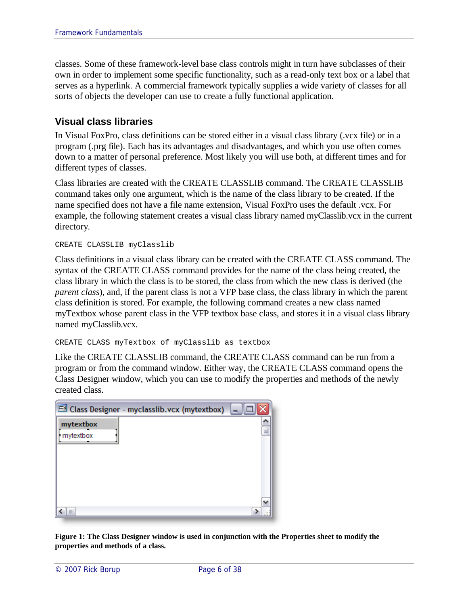classes. Some of these framework-level base class controls might in turn have subclasses of their own in order to implement some specific functionality, such as a read-only text box or a label that serves as a hyperlink. A commercial framework typically supplies a wide variety of classes for all sorts of objects the developer can use to create a fully functional application.

#### **Visual class libraries**

In Visual FoxPro, class definitions can be stored either in a visual class library (.vcx file) or in a program (.prg file). Each has its advantages and disadvantages, and which you use often comes down to a matter of personal preference. Most likely you will use both, at different times and for different types of classes.

Class libraries are created with the CREATE CLASSLIB command. The CREATE CLASSLIB command takes only one argument, which is the name of the class library to be created. If the name specified does not have a file name extension, Visual FoxPro uses the default .vcx. For example, the following statement creates a visual class library named myClasslib.vcx in the current directory.

CREATE CLASSLIB myClasslib

Class definitions in a visual class library can be created with the CREATE CLASS command. The syntax of the CREATE CLASS command provides for the name of the class being created, the class library in which the class is to be stored, the class from which the new class is derived (the *parent class*), and, if the parent class is not a VFP base class, the class library in which the parent class definition is stored. For example, the following command creates a new class named myTextbox whose parent class in the VFP textbox base class, and stores it in a visual class library named myClasslib.vcx.

CREATE CLASS myTextbox of myClasslib as textbox

Like the CREATE CLASSLIB command, the CREATE CLASS command can be run from a program or from the command window. Either way, the CREATE CLASS command opens the Class Designer window, which you can use to modify the properties and methods of the newly created class.

| Ed Class Designer - myclasslib.vcx (mytextbox) |   |
|------------------------------------------------|---|
| mytextbox                                      | ≣ |
| mytextbox                                      |   |
|                                                |   |
|                                                |   |
|                                                |   |
|                                                |   |
| Ш                                              |   |

**Figure 1: The Class Designer window is used in conjunction with the Properties sheet to modify the properties and methods of a class.**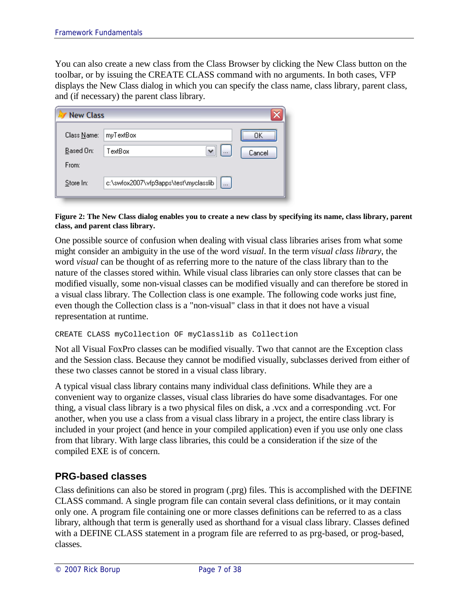You can also create a new class from the Class Browser by clicking the New Class button on the toolbar, or by issuing the CREATE CLASS command with no arguments. In both cases, VFP displays the New Class dialog in which you can specify the class name, class library, parent class, and (if necessary) the parent class library.

| <b>New Class</b> |                                                     |        |
|------------------|-----------------------------------------------------|--------|
| Class Name:      | myTextBox                                           | <br>пκ |
| Based On:        | TextBox<br>$\cdots$                                 | Cancel |
| From:            |                                                     |        |
| Store In:        | c:\swfox2007\vfp9apps\test\myclasslib  <br>$\cdots$ |        |

#### **Figure 2: The New Class dialog enables you to create a new class by specifying its name, class library, parent class, and parent class library.**

One possible source of confusion when dealing with visual class libraries arises from what some might consider an ambiguity in the use of the word *visual*. In the term *visual class library*, the word *visual* can be thought of as referring more to the nature of the class library than to the nature of the classes stored within. While visual class libraries can only store classes that can be modified visually, some non-visual classes can be modified visually and can therefore be stored in a visual class library. The Collection class is one example. The following code works just fine, even though the Collection class is a "non-visual" class in that it does not have a visual representation at runtime.

#### CREATE CLASS myCollection OF myClasslib as Collection

Not all Visual FoxPro classes can be modified visually. Two that cannot are the Exception class and the Session class. Because they cannot be modified visually, subclasses derived from either of these two classes cannot be stored in a visual class library.

A typical visual class library contains many individual class definitions. While they are a convenient way to organize classes, visual class libraries do have some disadvantages. For one thing, a visual class library is a two physical files on disk, a .vcx and a corresponding .vct. For another, when you use a class from a visual class library in a project, the entire class library is included in your project (and hence in your compiled application) even if you use only one class from that library. With large class libraries, this could be a consideration if the size of the compiled EXE is of concern.

#### **PRG-based classes**

Class definitions can also be stored in program (.prg) files. This is accomplished with the DEFINE CLASS command. A single program file can contain several class definitions, or it may contain only one. A program file containing one or more classes definitions can be referred to as a class library, although that term is generally used as shorthand for a visual class library. Classes defined with a DEFINE CLASS statement in a program file are referred to as prg-based, or prog-based, classes.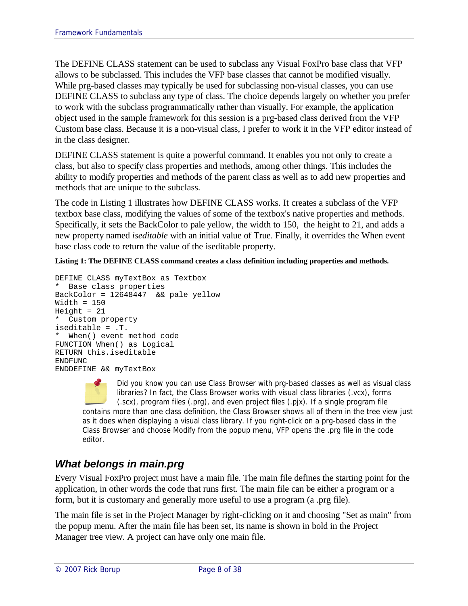The DEFINE CLASS statement can be used to subclass any Visual FoxPro base class that VFP allows to be subclassed. This includes the VFP base classes that cannot be modified visually. While prg-based classes may typically be used for subclassing non-visual classes, you can use DEFINE CLASS to subclass any type of class. The choice depends largely on whether you prefer to work with the subclass programmatically rather than visually. For example, the application object used in the sample framework for this session is a prg-based class derived from the VFP Custom base class. Because it is a non-visual class, I prefer to work it in the VFP editor instead of in the class designer.

DEFINE CLASS statement is quite a powerful command. It enables you not only to create a class, but also to specify class properties and methods, among other things. This includes the ability to modify properties and methods of the parent class as well as to add new properties and methods that are unique to the subclass.

The code in Listing 1 illustrates how DEFINE CLASS works. It creates a subclass of the VFP textbox base class, modifying the values of some of the textbox's native properties and methods. Specifically, it sets the BackColor to pale yellow, the width to 150, the height to 21, and adds a new property named *iseditable* with an initial value of True. Finally, it overrides the When event base class code to return the value of the iseditable property.

**Listing 1: The DEFINE CLASS command creates a class definition including properties and methods.**

```
DEFINE CLASS myTextBox as Textbox
* Base class properties
BackColor = 12648447 && pale yellow
Width = 150Height = 21Custom property
iseditable = .T.
  When() event method code
FUNCTION When() as Logical
RETURN this.iseditable
ENDFUNC
ENDDEFINE && myTextBox
```
Did you know you can use Class Browser with prg-based classes as well as visual class libraries? In fact, the Class Browser works with visual class libraries (.vcx), forms (.scx), program files (.prg), and even project files (.pjx). If a single program file contains more than one class definition, the Class Browser shows all of them in the tree view just as it does when displaying a visual class library. If you right-click on a prg-based class in the Class Browser and choose Modify from the popup menu, VFP opens the .prg file in the code editor.

### *What belongs in main.prg*

Every Visual FoxPro project must have a main file. The main file defines the starting point for the application, in other words the code that runs first. The main file can be either a program or a form, but it is customary and generally more useful to use a program (a .prg file).

The main file is set in the Project Manager by right-clicking on it and choosing "Set as main" from the popup menu. After the main file has been set, its name is shown in bold in the Project Manager tree view. A project can have only one main file.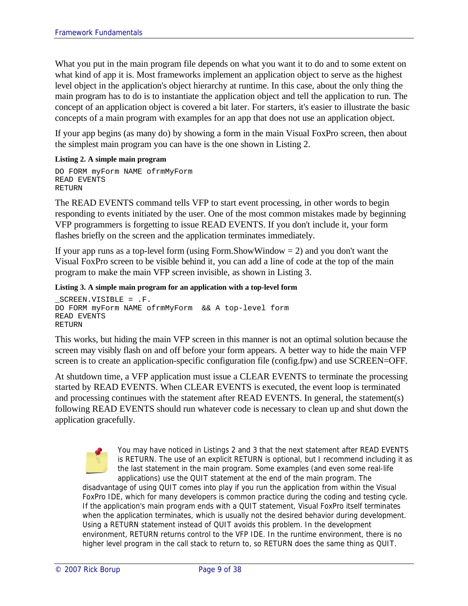What you put in the main program file depends on what you want it to do and to some extent on what kind of app it is. Most frameworks implement an application object to serve as the highest level object in the application's object hierarchy at runtime. In this case, about the only thing the main program has to do is to instantiate the application object and tell the application to run. The concept of an application object is covered a bit later. For starters, it's easier to illustrate the basic concepts of a main program with examples for an app that does not use an application object.

If your app begins (as many do) by showing a form in the main Visual FoxPro screen, then about the simplest main program you can have is the one shown in Listing 2.

#### **Listing 2. A simple main program**

```
DO FORM myForm NAME ofrmMyForm
READ EVENTS
RETURN
```
The READ EVENTS command tells VFP to start event processing, in other words to begin responding to events initiated by the user. One of the most common mistakes made by beginning VFP programmers is forgetting to issue READ EVENTS. If you don't include it, your form flashes briefly on the screen and the application terminates immediately.

If your app runs as a top-level form (using Form.ShowWindow  $= 2$ ) and you don't want the Visual FoxPro screen to be visible behind it, you can add a line of code at the top of the main program to make the main VFP screen invisible, as shown in Listing 3.

**Listing 3. A simple main program for an application with a top-level form**

```
_SCREEN.VISIBLE = .F.
DO FORM myForm NAME ofrmMyForm && A top-level form
READ EVENTS
RETURN
```
This works, but hiding the main VFP screen in this manner is not an optimal solution because the screen may visibly flash on and off before your form appears. A better way to hide the main VFP screen is to create an application-specific configuration file (config.fpw) and use SCREEN=OFF.

At shutdown time, a VFP application must issue a CLEAR EVENTS to terminate the processing started by READ EVENTS. When CLEAR EVENTS is executed, the event loop is terminated and processing continues with the statement after READ EVENTS. In general, the statement(s) following READ EVENTS should run whatever code is necessary to clean up and shut down the application gracefully.

> You may have noticed in Listings 2 and 3 that the next statement after READ EVENTS is RETURN. The use of an explicit RETURN is optional, but I recommend including it as the last statement in the main program. Some examples (and even some real-life applications) use the QUIT statement at the end of the main program. The

disadvantage of using QUIT comes into play if you run the application from within the Visual FoxPro IDE, which for many developers is common practice during the coding and testing cycle. If the application's main program ends with a QUIT statement, Visual FoxPro itself terminates when the application terminates, which is usually not the desired behavior during development. Using a RETURN statement instead of QUIT avoids this problem. In the development environment, RETURN returns control to the VFP IDE. In the runtime environment, there is no higher level program in the call stack to return to, so RETURN does the same thing as QUIT.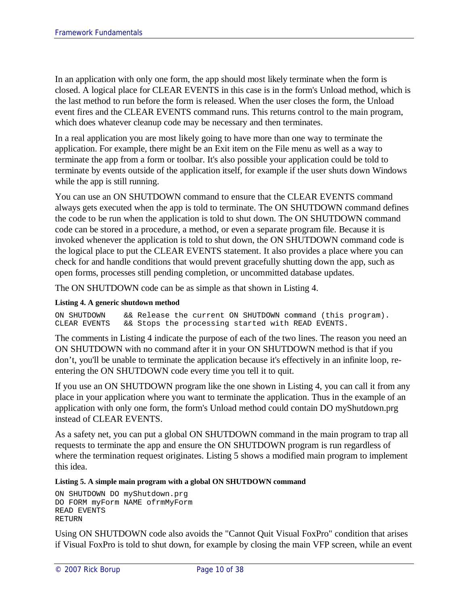In an application with only one form, the app should most likely terminate when the form is closed. A logical place for CLEAR EVENTS in this case is in the form's Unload method, which is the last method to run before the form is released. When the user closes the form, the Unload event fires and the CLEAR EVENTS command runs. This returns control to the main program, which does whatever cleanup code may be necessary and then terminates.

In a real application you are most likely going to have more than one way to terminate the application. For example, there might be an Exit item on the File menu as well as a way to terminate the app from a form or toolbar. It's also possible your application could be told to terminate by events outside of the application itself, for example if the user shuts down Windows while the app is still running.

You can use an ON SHUTDOWN command to ensure that the CLEAR EVENTS command always gets executed when the app is told to terminate. The ON SHUTDOWN command defines the code to be run when the application is told to shut down. The ON SHUTDOWN command code can be stored in a procedure, a method, or even a separate program file. Because it is invoked whenever the application is told to shut down, the ON SHUTDOWN command code is the logical place to put the CLEAR EVENTS statement. It also provides a place where you can check for and handle conditions that would prevent gracefully shutting down the app, such as open forms, processes still pending completion, or uncommitted database updates.

The ON SHUTDOWN code can be as simple as that shown in Listing 4.

#### **Listing 4. A generic shutdown method**

ON SHUTDOWN 6& Release the current ON SHUTDOWN command (this program).<br>CLEAR EVENTS 6& Stops the processing started with READ EVENTS. && Stops the processing started with READ EVENTS.

The comments in Listing 4 indicate the purpose of each of the two lines. The reason you need an ON SHUTDOWN with no command after it in your ON SHUTDOWN method is that if you don't, you'll be unable to terminate the application because it's effectively in an infinite loop, reentering the ON SHUTDOWN code every time you tell it to quit.

If you use an ON SHUTDOWN program like the one shown in Listing 4, you can call it from any place in your application where you want to terminate the application. Thus in the example of an application with only one form, the form's Unload method could contain DO myShutdown.prg instead of CLEAR EVENTS.

As a safety net, you can put a global ON SHUTDOWN command in the main program to trap all requests to terminate the app and ensure the ON SHUTDOWN program is run regardless of where the termination request originates. Listing 5 shows a modified main program to implement this idea.

#### **Listing 5. A simple main program with a global ON SHUTDOWN command**

```
ON SHUTDOWN DO myShutdown.prg
DO FORM myForm NAME ofrmMyForm
READ EVENTS
RETURN
```
Using ON SHUTDOWN code also avoids the "Cannot Quit Visual FoxPro" condition that arises if Visual FoxPro is told to shut down, for example by closing the main VFP screen, while an event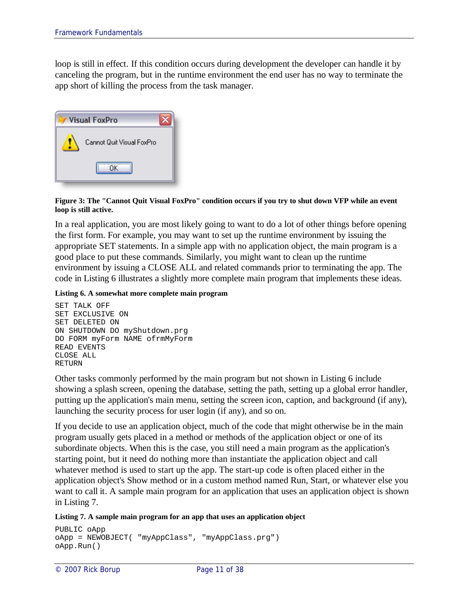loop is still in effect. If this condition occurs during development the developer can handle it by canceling the program, but in the runtime environment the end user has no way to terminate the app short of killing the process from the task manager.

| <b>Visual FoxPro</b>      |  |  |  |  |  |  |
|---------------------------|--|--|--|--|--|--|
| Cannot Quit Visual FoxPro |  |  |  |  |  |  |
| OΚ                        |  |  |  |  |  |  |

**Figure 3: The "Cannot Quit Visual FoxPro" condition occurs if you try to shut down VFP while an event loop is still active.**

In a real application, you are most likely going to want to do a lot of other things before opening the first form. For example, you may want to set up the runtime environment by issuing the appropriate SET statements. In a simple app with no application object, the main program is a good place to put these commands. Similarly, you might want to clean up the runtime environment by issuing a CLOSE ALL and related commands prior to terminating the app. The code in Listing 6 illustrates a slightly more complete main program that implements these ideas.

**Listing 6. A somewhat more complete main program**

```
SET TALK OFF
SET EXCLUSIVE ON
SET DELETED ON
ON SHUTDOWN DO myShutdown.prg
DO FORM myForm NAME ofrmMyForm
READ EVENTS
CLOSE ALL
RETURN
```
Other tasks commonly performed by the main program but not shown in Listing 6 include showing a splash screen, opening the database, setting the path, setting up a global error handler, putting up the application's main menu, setting the screen icon, caption, and background (if any), launching the security process for user login (if any), and so on.

If you decide to use an application object, much of the code that might otherwise be in the main program usually gets placed in a method or methods of the application object or one of its subordinate objects. When this is the case, you still need a main program as the application's starting point, but it need do nothing more than instantiate the application object and call whatever method is used to start up the app. The start-up code is often placed either in the application object's Show method or in a custom method named Run, Start, or whatever else you want to call it. A sample main program for an application that uses an application object is shown in Listing 7.

**Listing 7. A sample main program for an app that uses an application object**

```
PUBLIC oApp
oApp = NEWOBJECT( "myAppClass", "myAppClass.prg")
oApp.Run()
```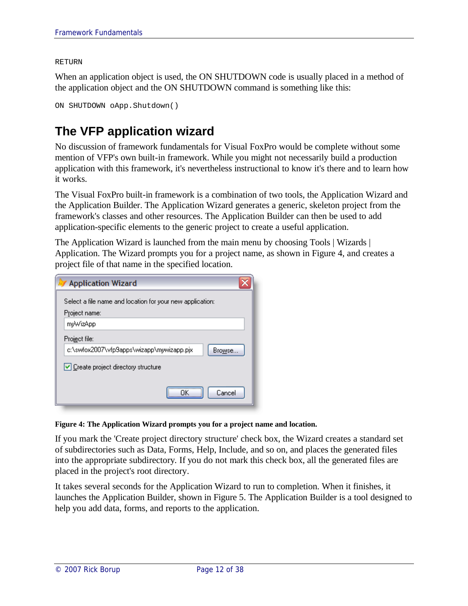#### RETURN

When an application object is used, the ON SHUTDOWN code is usually placed in a method of the application object and the ON SHUTDOWN command is something like this:

```
ON SHUTDOWN oApp.Shutdown()
```
# **The VFP application wizard**

No discussion of framework fundamentals for Visual FoxPro would be complete without some mention of VFP's own built-in framework. While you might not necessarily build a production application with this framework, it's nevertheless instructional to know it's there and to learn how it works.

The Visual FoxPro built-in framework is a combination of two tools, the Application Wizard and the Application Builder. The Application Wizard generates a generic, skeleton project from the framework's classes and other resources. The Application Builder can then be used to add application-specific elements to the generic project to create a useful application.

The Application Wizard is launched from the main menu by choosing Tools | Wizards | Application. The Wizard prompts you for a project name, as shown in Figure 4, and creates a project file of that name in the specified location.

| <b>Application Wizard</b>                                 |  |  |  |  |  |  |
|-----------------------------------------------------------|--|--|--|--|--|--|
| Select a file name and location for your new application: |  |  |  |  |  |  |
| Project name:                                             |  |  |  |  |  |  |
| myWizApp                                                  |  |  |  |  |  |  |
| Project file:                                             |  |  |  |  |  |  |
| c:\swfox2007\vfp9apps\wizapp\mywizapp.pjx<br>Browse       |  |  |  |  |  |  |
| Create project directory structure                        |  |  |  |  |  |  |
| Cancel                                                    |  |  |  |  |  |  |

#### **Figure 4: The Application Wizard prompts you for a project name and location.**

If you mark the 'Create project directory structure' check box, the Wizard creates a standard set of subdirectories such as Data, Forms, Help, Include, and so on, and places the generated files into the appropriate subdirectory. If you do not mark this check box, all the generated files are placed in the project's root directory.

It takes several seconds for the Application Wizard to run to completion. When it finishes, it launches the Application Builder, shown in Figure 5. The Application Builder is a tool designed to help you add data, forms, and reports to the application.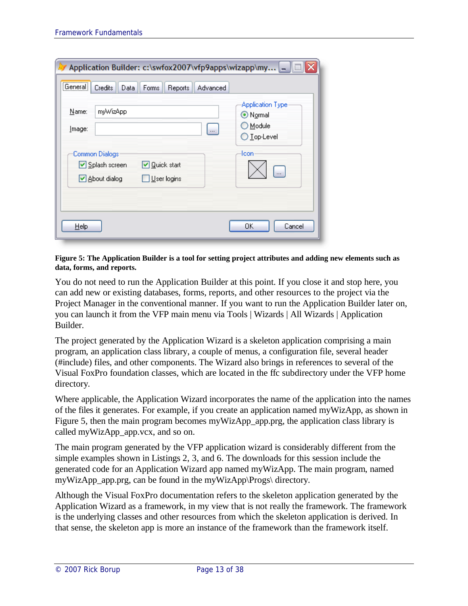| Application Builder: c:\swfox2007\vfp9apps\wizapp\my -                                                   |                                                                         |
|----------------------------------------------------------------------------------------------------------|-------------------------------------------------------------------------|
| [General]<br>Credits<br>Data<br>Forms<br><b>Advanced</b><br>Reports                                      |                                                                         |
| myWizApp<br>Name:<br>Image:<br>$\cdots$                                                                  | <b>Application Type</b><br>⊙ Normal<br>O Module<br>$\bigcirc$ Top-Level |
| Common Dialogs<br>☑ Splash screen<br>V Quick start<br>■ About dialog<br>$\sqrt{\frac{1}{2}}$ User logins | lcon                                                                    |
| Help                                                                                                     | OK<br>Cancel                                                            |

#### **Figure 5: The Application Builder is a tool for setting project attributes and adding new elements such as data, forms, and reports.**

You do not need to run the Application Builder at this point. If you close it and stop here, you can add new or existing databases, forms, reports, and other resources to the project via the Project Manager in the conventional manner. If you want to run the Application Builder later on, you can launch it from the VFP main menu via Tools | Wizards | All Wizards | Application Builder.

The project generated by the Application Wizard is a skeleton application comprising a main program, an application class library, a couple of menus, a configuration file, several header (#include) files, and other components. The Wizard also brings in references to several of the Visual FoxPro foundation classes, which are located in the ffc subdirectory under the VFP home directory.

Where applicable, the Application Wizard incorporates the name of the application into the names of the files it generates. For example, if you create an application named myWizApp, as shown in Figure 5, then the main program becomes myWizApp\_app.prg, the application class library is called myWizApp\_app.vcx, and so on.

The main program generated by the VFP application wizard is considerably different from the simple examples shown in Listings 2, 3, and 6. The downloads for this session include the generated code for an Application Wizard app named myWizApp. The main program, named myWizApp\_app.prg, can be found in the myWizApp\Progs\ directory.

Although the Visual FoxPro documentation refers to the skeleton application generated by the Application Wizard as a framework, in my view that is not really the framework. The framework is the underlying classes and other resources from which the skeleton application is derived. In that sense, the skeleton app is more an instance of the framework than the framework itself.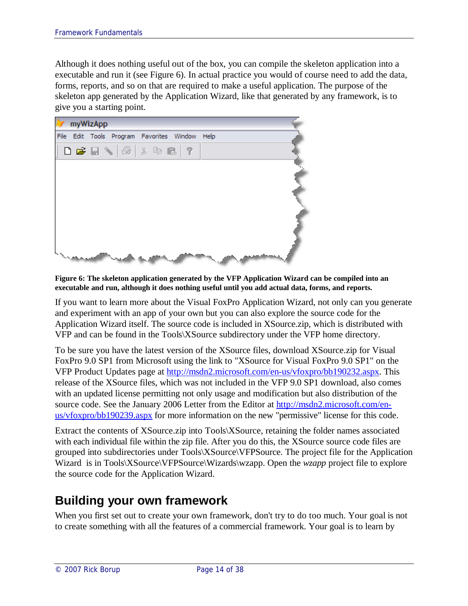Although it does nothing useful out of the box, you can compile the skeleton application into a executable and run it (see Figure 6). In actual practice you would of course need to add the data, forms, reports, and so on that are required to make a useful application. The purpose of the skeleton app generated by the Application Wizard, like that generated by any framework, is to give you a starting point.



**Figure 6: The skeleton application generated by the VFP Application Wizard can be compiled into an executable and run, although it does nothing useful until you add actual data, forms, and reports.**

If you want to learn more about the Visual FoxPro Application Wizard, not only can you generate and experiment with an app of your own but you can also explore the source code for the Application Wizard itself. The source code is included in XSource.zip, which is distributed with VFP and can be found in the Tools\XSource subdirectory under the VFP home directory.

To be sure you have the latest version of the XSource files, download XSource.zip for Visual FoxPro 9.0 SP1 from Microsoft using the link to "XSource for Visual FoxPro 9.0 SP1" on the VFP Product Updates page at http://msdn2.microsoft.com/en-us/vfoxpro/bb190232.aspx. This release of the XSource files, which was not included in the VFP 9.0 SP1 download, also comes with an updated license permitting not only usage and modification but also distribution of the source code. See the January 2006 Letter from the Editor at http://msdn2.microsoft.com/enus/vfoxpro/bb190239.aspx for more information on the new "permissive" license for this code.

Extract the contents of XSource.zip into Tools\XSource, retaining the folder names associated with each individual file within the zip file. After you do this, the XSource source code files are grouped into subdirectories under Tools\XSource\VFPSource. The project file for the Application Wizard is in Tools\XSource\VFPSource\Wizards\wzapp. Open the *wzapp* project file to explore the source code for the Application Wizard.

# **Building your own framework**

When you first set out to create your own framework, don't try to do too much. Your goal is not to create something with all the features of a commercial framework. Your goal is to learn by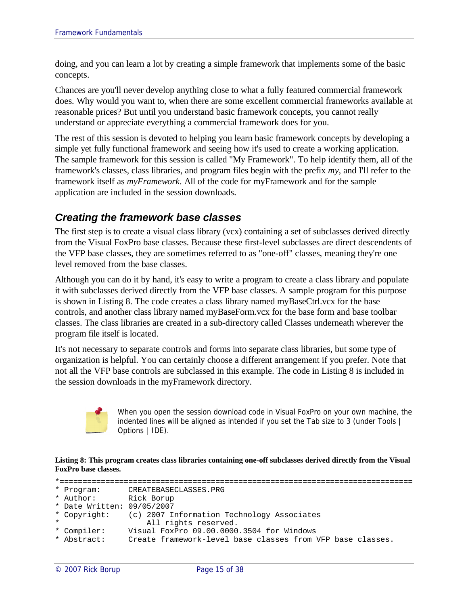doing, and you can learn a lot by creating a simple framework that implements some of the basic concepts.

Chances are you'll never develop anything close to what a fully featured commercial framework does. Why would you want to, when there are some excellent commercial frameworks available at reasonable prices? But until you understand basic framework concepts, you cannot really understand or appreciate everything a commercial framework does for you.

The rest of this session is devoted to helping you learn basic framework concepts by developing a simple yet fully functional framework and seeing how it's used to create a working application. The sample framework for this session is called "My Framework". To help identify them, all of the framework's classes, class libraries, and program files begin with the prefix *my*, and I'll refer to the framework itself as *myFramework*. All of the code for myFramework and for the sample application are included in the session downloads.

#### *Creating the framework base classes*

The first step is to create a visual class library (vcx) containing a set of subclasses derived directly from the Visual FoxPro base classes. Because these first-level subclasses are direct descendents of the VFP base classes, they are sometimes referred to as "one-off" classes, meaning they're one level removed from the base classes.

Although you can do it by hand, it's easy to write a program to create a class library and populate it with subclasses derived directly from the VFP base classes. A sample program for this purpose is shown in Listing 8. The code creates a class library named myBaseCtrl.vcx for the base controls, and another class library named myBaseForm.vcx for the base form and base toolbar classes. The class libraries are created in a sub-directory called Classes underneath wherever the program file itself is located.

It's not necessary to separate controls and forms into separate class libraries, but some type of organization is helpful. You can certainly choose a different arrangement if you prefer. Note that not all the VFP base controls are subclassed in this example. The code in Listing 8 is included in the session downloads in the myFramework directory.



When you open the session download code in Visual FoxPro on your own machine, the indented lines will be aligned as intended if you set the Tab size to 3 (under Tools | Options | IDE).

**Listing 8: This program creates class libraries containing one-off subclasses derived directly from the Visual FoxPro base classes.**

```
*=============================================================================
* Program: CREATEBASECLASSES.PRG
* Author: Rick Borup
* Date Written: 09/05/2007
* Copyright: (c) 2007 Information Technology Associates
* All rights reserved.
* Compiler: Visual FoxPro 09.00.0000.3504 for Windows
* Abstract: Create framework-level base classes from VFP base classes.
```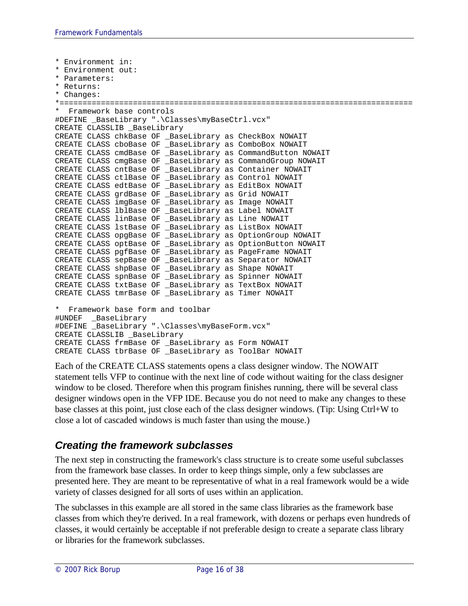```
* Environment in:
* Environment out:
* Parameters:
* Returns:
* Changes:
*=============================================================================
* Framework base controls
#DEFINE _BaseLibrary ".\Classes\myBaseCtrl.vcx"
CREATE CLASSLIB _BaseLibrary
CREATE CLASS chkBase OF _BaseLibrary as CheckBox NOWAIT
CREATE CLASS cboBase OF _BaseLibrary as ComboBox NOWAIT
CREATE CLASS cmdBase OF _BaseLibrary as CommandButton NOWAIT
CREATE CLASS cmgBase OF _BaseLibrary as CommandGroup NOWAIT
CREATE CLASS cntBase OF _BaseLibrary as Container NOWAIT
CREATE CLASS ctlBase OF _BaseLibrary as Control NOWAIT
CREATE CLASS edtBase OF _BaseLibrary as EditBox NOWAIT
CREATE CLASS grdBase OF _BaseLibrary as Grid NOWAIT
CREATE CLASS imgBase OF _BaseLibrary as Image NOWAIT
CREATE CLASS lblBase OF _BaseLibrary as Label NOWAIT
CREATE CLASS linBase OF _BaseLibrary as Line NOWAIT
CREATE CLASS lstBase OF _BaseLibrary as ListBox NOWAIT
CREATE CLASS opgBase OF _BaseLibrary as OptionGroup NOWAIT
CREATE CLASS optBase OF _BaseLibrary as OptionButton NOWAIT
CREATE CLASS pgfBase OF _BaseLibrary as PageFrame NOWAIT
CREATE CLASS sepBase OF _BaseLibrary as Separator NOWAIT
CREATE CLASS shpBase OF BaseLibrary as Shape NOWAIT
CREATE CLASS spnBase OF BaseLibrary as Spinner NOWAIT
CREATE CLASS txtBase OF  BaseLibrary as TextBox NOWAIT
CREATE CLASS tmrBase OF _BaseLibrary as Timer NOWAIT
* Framework base form and toolbar
#UNDEF _BaseLibrary
#DEFINE _BaseLibrary ".\Classes\myBaseForm.vcx"
CREATE CLASSLIB _BaseLibrary
CREATE CLASS frmBase OF _BaseLibrary as Form NOWAIT
CREATE CLASS tbrBase OF _BaseLibrary as ToolBar NOWAIT
```
Each of the CREATE CLASS statements opens a class designer window. The NOWAIT statement tells VFP to continue with the next line of code without waiting for the class designer window to be closed. Therefore when this program finishes running, there will be several class designer windows open in the VFP IDE. Because you do not need to make any changes to these base classes at this point, just close each of the class designer windows. (Tip: Using Ctrl+W to close a lot of cascaded windows is much faster than using the mouse.)

### *Creating the framework subclasses*

The next step in constructing the framework's class structure is to create some useful subclasses from the framework base classes. In order to keep things simple, only a few subclasses are presented here. They are meant to be representative of what in a real framework would be a wide variety of classes designed for all sorts of uses within an application.

The subclasses in this example are all stored in the same class libraries as the framework base classes from which they're derived. In a real framework, with dozens or perhaps even hundreds of classes, it would certainly be acceptable if not preferable design to create a separate class library or libraries for the framework subclasses.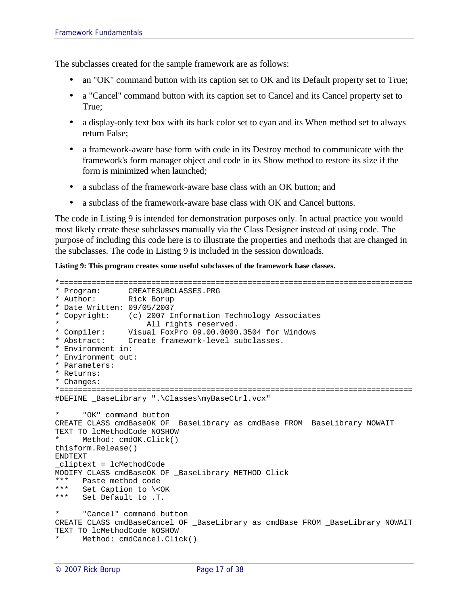The subclasses created for the sample framework are as follows:

- an "OK" command button with its caption set to OK and its Default property set to True;
- a "Cancel" command button with its caption set to Cancel and its Cancel property set to True;
- a display-only text box with its back color set to cyan and its When method set to always return False;
- a framework-aware base form with code in its Destroy method to communicate with the framework's form manager object and code in its Show method to restore its size if the form is minimized when launched;
- a subclass of the framework-aware base class with an OK button; and
- a subclass of the framework-aware base class with OK and Cancel buttons.

The code in Listing 9 is intended for demonstration purposes only. In actual practice you would most likely create these subclasses manually via the Class Designer instead of using code. The purpose of including this code here is to illustrate the properties and methods that are changed in the subclasses. The code in Listing 9 is included in the session downloads.

**Listing 9: This program creates some useful subclasses of the framework base classes.**

```
*=============================================================================
* Program: CREATESUBCLASSES.PRG
* Author: Rick Borup
* Date Written: 09/05/2007
* Copyright: (c) 2007 Information Technology Associates
                All rights reserved.
* Compiler: Visual FoxPro 09.00.0000.3504 for Windows
* Abstract: Create framework-level subclasses.
* Environment in:
* Environment out:
* Parameters:
* Returns:
* Changes:
*=============================================================================
#DEFINE _BaseLibrary ".\Classes\myBaseCtrl.vcx"
      " OK" command button
CREATE CLASS cmdBaseOK OF _BaseLibrary as cmdBase FROM _BaseLibrary NOWAIT
TEXT TO lcMethodCode NOSHOW 
* Method: cmdOK.Click()
thisform.Release()
ENDTEXT
_cliptext = lcMethodCode
MODIFY CLASS cmdBaseOK OF _BaseLibrary METHOD Click
*** Paste method code<br>*** Set Caption to \<
*** Set Caption to \<OK
    Set Default to .T.
     "Cancel" command button
CREATE CLASS cmdBaseCancel OF _BaseLibrary as cmdBase FROM _BaseLibrary NOWAIT
TEXT TO lcMethodCode NOSHOW 
    Method: cmdCancel.Click()
```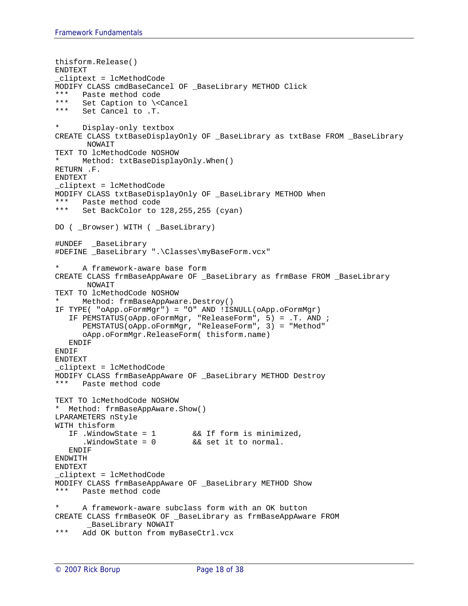```
thisform.Release()
ENDTEXT
_cliptext = lcMethodCode
MODIFY CLASS cmdBaseCancel OF _BaseLibrary METHOD Click
*** Paste method code
*** Set Caption to \<Cancel
*** Set Cancel to .T.
     Display-only textbox
CREATE CLASS txtBaseDisplayOnly OF _BaseLibrary as txtBase FROM _BaseLibrary 
      NOWAIT
TEXT TO lcMethodCode NOSHOW
     Method: txtBaseDisplayOnly.When()
RETURN .F.
ENDTEXT
_cliptext = lcMethodCode
MODIFY CLASS txtBaseDisplayOnly OF _BaseLibrary METHOD When
*** Paste method code<br>*** Set BackColor to
     Set BackColor to 128,255,255 (cyan)
DO ( _Browser) WITH ( _BaseLibrary)
#UNDEF _BaseLibrary
#DEFINE _BaseLibrary ".\Classes\myBaseForm.vcx"
     A framework-aware base form
CREATE CLASS frmBaseAppAware OF _BaseLibrary as frmBase FROM _BaseLibrary
      NOWAIT
TEXT TO lcMethodCode NOSHOW 
     Method: frmBaseAppAware.Destroy()
IF TYPE( "oApp.oFormMgr") = "O" AND !ISNULL(oApp.oFormMgr)
   IF PEMSTATUS(oApp.oFormMgr, "ReleaseForm", 5) = .T. AND ;
      PEMSTATUS(oApp.oFormMgr, "ReleaseForm", 3) = "Method"
      oApp.oFormMgr.ReleaseForm( thisform.name)
   ENDIF
ENDIF
ENDTEXT
_cliptext = lcMethodCode
MODIFY CLASS frmBaseAppAware OF _BaseLibrary METHOD Destroy
*** Paste method code
TEXT TO lcMethodCode NOSHOW 
* Method: frmBaseAppAware.Show()
LPARAMETERS nStyle
WITH thisform
   IF .WindowState = 1 && If form is minimized,
      .WindowState = 0 && set it to normal.
   ENDIF
ENDWITH
ENDTEXT
_cliptext = lcMethodCode
MODIFY CLASS frmBaseAppAware OF _BaseLibrary METHOD Show
*** Paste method code
* A framework-aware subclass form with an OK button
CREATE CLASS frmBaseOK OF _BaseLibrary as frmBaseAppAware FROM 
      _BaseLibrary NOWAIT
*** Add OK button from myBaseCtrl.vcx
```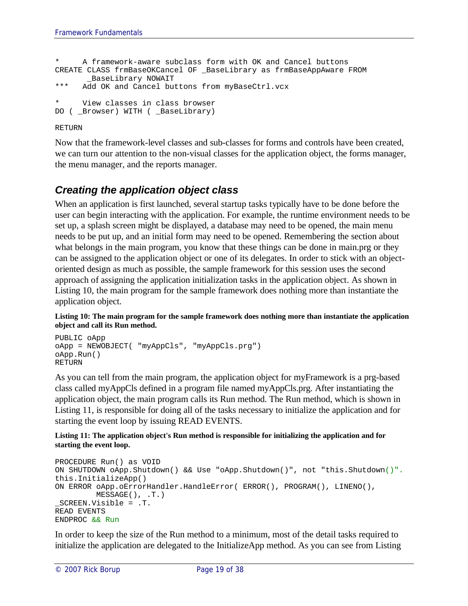```
* A framework-aware subclass form with OK and Cancel buttons
CREATE CLASS frmBaseOKCancel OF _BaseLibrary as frmBaseAppAware FROM 
      _BaseLibrary NOWAIT
*** Add OK and Cancel buttons from myBaseCtrl.vcx
* View classes in class browser
DO ( Browser) WITH ( BaseLibrary)
```
#### RETURN

Now that the framework-level classes and sub-classes for forms and controls have been created, we can turn our attention to the non-visual classes for the application object, the forms manager, the menu manager, and the reports manager.

#### *Creating the application object class*

When an application is first launched, several startup tasks typically have to be done before the user can begin interacting with the application. For example, the runtime environment needs to be set up, a splash screen might be displayed, a database may need to be opened, the main menu needs to be put up, and an initial form may need to be opened. Remembering the section about what belongs in the main program, you know that these things can be done in main.prg or they can be assigned to the application object or one of its delegates. In order to stick with an objectoriented design as much as possible, the sample framework for this session uses the second approach of assigning the application initialization tasks in the application object. As shown in Listing 10, the main program for the sample framework does nothing more than instantiate the application object.

**Listing 10: The main program for the sample framework does nothing more than instantiate the application object and call its Run method.**

```
PUBLIC oApp
oApp = NEWOBJECT( "myAppCls", "myAppCls.prg")
oApp.Run()
RETURN
```
As you can tell from the main program, the application object for myFramework is a prg-based class called myAppCls defined in a program file named myAppCls.prg. After instantiating the application object, the main program calls its Run method. The Run method, which is shown in Listing 11, is responsible for doing all of the tasks necessary to initialize the application and for starting the event loop by issuing READ EVENTS.

#### **Listing 11: The application object's Run method is responsible for initializing the application and for starting the event loop.**

```
PROCEDURE Run() as VOID
ON SHUTDOWN oApp.Shutdown() && Use "oApp.Shutdown()", not "this.Shutdown()".
this.InitializeApp()
ON ERROR oApp.oErrorHandler.HandleError( ERROR(), PROGRAM(), LINENO(), 
        MESSAGE(), .T.)
_SCREEN.Visible = .T.
READ EVENTS
ENDPROC && Run
```
In order to keep the size of the Run method to a minimum, most of the detail tasks required to initialize the application are delegated to the InitializeApp method. As you can see from Listing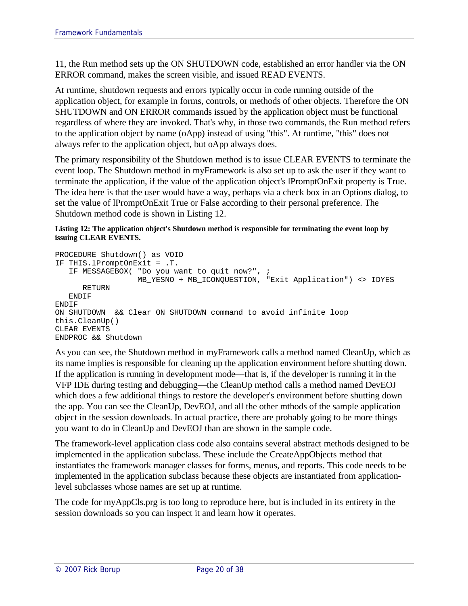11, the Run method sets up the ON SHUTDOWN code, established an error handler via the ON ERROR command, makes the screen visible, and issued READ EVENTS.

At runtime, shutdown requests and errors typically occur in code running outside of the application object, for example in forms, controls, or methods of other objects. Therefore the ON SHUTDOWN and ON ERROR commands issued by the application object must be functional regardless of where they are invoked. That's why, in those two commands, the Run method refers to the application object by name (oApp) instead of using "this". At runtime, "this" does not always refer to the application object, but oApp always does.

The primary responsibility of the Shutdown method is to issue CLEAR EVENTS to terminate the event loop. The Shutdown method in myFramework is also set up to ask the user if they want to terminate the application, if the value of the application object's lPromptOnExit property is True. The idea here is that the user would have a way, perhaps via a check box in an Options dialog, to set the value of lPromptOnExit True or False according to their personal preference. The Shutdown method code is shown in Listing 12.

#### **Listing 12: The application object's Shutdown method is responsible for terminating the event loop by issuing CLEAR EVENTS.**

```
PROCEDURE Shutdown() as VOID
IF THIS.lPromptOnExit = .T.
   IF MESSAGEBOX( "Do you want to quit now?", ;
                 MB_YESNO + MB_ICONQUESTION, "Exit Application") <> IDYES
      RETURN
   ENDIF
ENDIF
ON SHUTDOWN && Clear ON SHUTDOWN command to avoid infinite loop
this.CleanUp()
CLEAR EVENTS
ENDPROC && Shutdown
```
As you can see, the Shutdown method in myFramework calls a method named CleanUp, which as its name implies is responsible for cleaning up the application environment before shutting down. If the application is running in development mode—that is, if the developer is running it in the VFP IDE during testing and debugging—the CleanUp method calls a method named DevEOJ which does a few additional things to restore the developer's environment before shutting down the app. You can see the CleanUp, DevEOJ, and all the other mthods of the sample application object in the session downloads. In actual practice, there are probably going to be more things you want to do in CleanUp and DevEOJ than are shown in the sample code.

The framework-level application class code also contains several abstract methods designed to be implemented in the application subclass. These include the CreateAppObjects method that instantiates the framework manager classes for forms, menus, and reports. This code needs to be implemented in the application subclass because these objects are instantiated from applicationlevel subclasses whose names are set up at runtime.

The code for myAppCls.prg is too long to reproduce here, but is included in its entirety in the session downloads so you can inspect it and learn how it operates.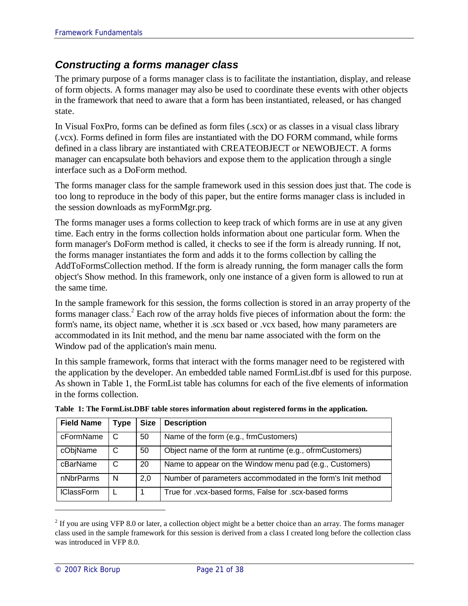### *Constructing a forms manager class*

The primary purpose of a forms manager class is to facilitate the instantiation, display, and release of form objects. A forms manager may also be used to coordinate these events with other objects in the framework that need to aware that a form has been instantiated, released, or has changed state.

In Visual FoxPro, forms can be defined as form files (.scx) or as classes in a visual class library (.vcx). Forms defined in form files are instantiated with the DO FORM command, while forms defined in a class library are instantiated with CREATEOBJECT or NEWOBJECT. A forms manager can encapsulate both behaviors and expose them to the application through a single interface such as a DoForm method.

The forms manager class for the sample framework used in this session does just that. The code is too long to reproduce in the body of this paper, but the entire forms manager class is included in the session downloads as myFormMgr.prg.

The forms manager uses a forms collection to keep track of which forms are in use at any given time. Each entry in the forms collection holds information about one particular form. When the form manager's DoForm method is called, it checks to see if the form is already running. If not, the forms manager instantiates the form and adds it to the forms collection by calling the AddToFormsCollection method. If the form is already running, the form manager calls the form object's Show method. In this framework, only one instance of a given form is allowed to run at the same time.

In the sample framework for this session, the forms collection is stored in an array property of the forms manager class.<sup>2</sup> Each row of the array holds five pieces of information about the form: the form's name, its object name, whether it is .scx based or .vcx based, how many parameters are accommodated in its Init method, and the menu bar name associated with the form on the Window pad of the application's main menu.

In this sample framework, forms that interact with the forms manager need to be registered with the application by the developer. An embedded table named FormList.dbf is used for this purpose. As shown in Table 1, the FormList table has columns for each of the five elements of information in the forms collection.

| <b>Field Name</b> | <b>Type</b> | <b>Size</b> | <b>Description</b>                                          |
|-------------------|-------------|-------------|-------------------------------------------------------------|
| cFormName         | C           | 50          | Name of the form (e.g., frmCustomers)                       |
| cObjName          | C           | 50          | Object name of the form at runtime (e.g., ofrmCustomers)    |
| cBarName          | C           | 20          | Name to appear on the Window menu pad (e.g., Customers)     |
| nNbrParms         | N           | 2,0         | Number of parameters accommodated in the form's Init method |
| <b>IClassForm</b> |             |             | True for .vcx-based forms, False for .scx-based forms       |

| Table 1: The FormList.DBF table stores information about registered forms in the application. |  |  |  |  |  |
|-----------------------------------------------------------------------------------------------|--|--|--|--|--|
|-----------------------------------------------------------------------------------------------|--|--|--|--|--|

 $2$  If you are using VFP 8.0 or later, a collection object might be a better choice than an array. The forms manager class used in the sample framework for this session is derived from a class I created long before the collection class was introduced in VFP 8.0.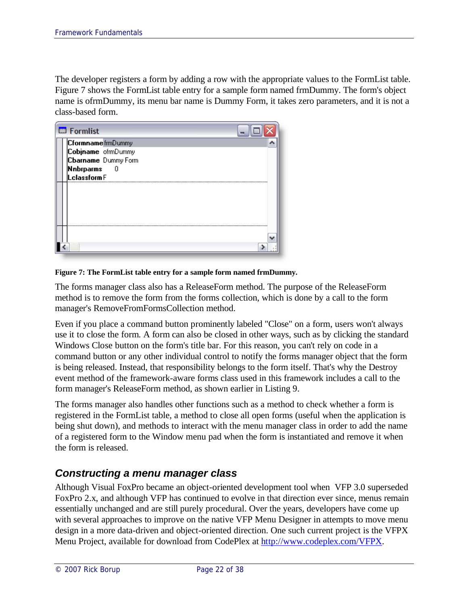The developer registers a form by adding a row with the appropriate values to the FormList table. Figure 7 shows the FormList table entry for a sample form named frmDummy. The form's object name is ofrmDummy, its menu bar name is Dummy Form, it takes zero parameters, and it is not a class-based form.



#### **Figure 7: The FormList table entry for a sample form named frmDummy.**

The forms manager class also has a ReleaseForm method. The purpose of the ReleaseForm method is to remove the form from the forms collection, which is done by a call to the form manager's RemoveFromFormsCollection method.

Even if you place a command button prominently labeled "Close" on a form, users won't always use it to close the form. A form can also be closed in other ways, such as by clicking the standard Windows Close button on the form's title bar. For this reason, you can't rely on code in a command button or any other individual control to notify the forms manager object that the form is being released. Instead, that responsibility belongs to the form itself. That's why the Destroy event method of the framework-aware forms class used in this framework includes a call to the form manager's ReleaseForm method, as shown earlier in Listing 9.

The forms manager also handles other functions such as a method to check whether a form is registered in the FormList table, a method to close all open forms (useful when the application is being shut down), and methods to interact with the menu manager class in order to add the name of a registered form to the Window menu pad when the form is instantiated and remove it when the form is released.

### *Constructing a menu manager class*

Although Visual FoxPro became an object-oriented development tool when VFP 3.0 superseded FoxPro 2.x, and although VFP has continued to evolve in that direction ever since, menus remain essentially unchanged and are still purely procedural. Over the years, developers have come up with several approaches to improve on the native VFP Menu Designer in attempts to move menu design in a more data-driven and object-oriented direction. One such current project is the VFPX Menu Project, available for download from CodePlex at http://www.codeplex.com/VFPX.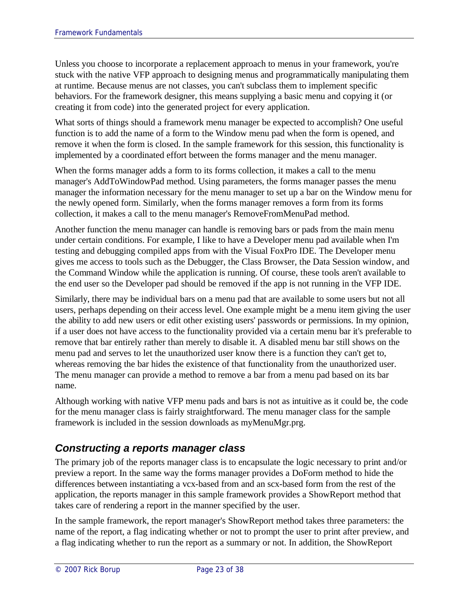Unless you choose to incorporate a replacement approach to menus in your framework, you're stuck with the native VFP approach to designing menus and programmatically manipulating them at runtime. Because menus are not classes, you can't subclass them to implement specific behaviors. For the framework designer, this means supplying a basic menu and copying it (or creating it from code) into the generated project for every application.

What sorts of things should a framework menu manager be expected to accomplish? One useful function is to add the name of a form to the Window menu pad when the form is opened, and remove it when the form is closed. In the sample framework for this session, this functionality is implemented by a coordinated effort between the forms manager and the menu manager.

When the forms manager adds a form to its forms collection, it makes a call to the menu manager's AddToWindowPad method. Using parameters, the forms manager passes the menu manager the information necessary for the menu manager to set up a bar on the Window menu for the newly opened form. Similarly, when the forms manager removes a form from its forms collection, it makes a call to the menu manager's RemoveFromMenuPad method.

Another function the menu manager can handle is removing bars or pads from the main menu under certain conditions. For example, I like to have a Developer menu pad available when I'm testing and debugging compiled apps from with the Visual FoxPro IDE. The Developer menu gives me access to tools such as the Debugger, the Class Browser, the Data Session window, and the Command Window while the application is running. Of course, these tools aren't available to the end user so the Developer pad should be removed if the app is not running in the VFP IDE.

Similarly, there may be individual bars on a menu pad that are available to some users but not all users, perhaps depending on their access level. One example might be a menu item giving the user the ability to add new users or edit other existing users' passwords or permissions. In my opinion, if a user does not have access to the functionality provided via a certain menu bar it's preferable to remove that bar entirely rather than merely to disable it. A disabled menu bar still shows on the menu pad and serves to let the unauthorized user know there is a function they can't get to, whereas removing the bar hides the existence of that functionality from the unauthorized user. The menu manager can provide a method to remove a bar from a menu pad based on its bar name.

Although working with native VFP menu pads and bars is not as intuitive as it could be, the code for the menu manager class is fairly straightforward. The menu manager class for the sample framework is included in the session downloads as myMenuMgr.prg.

### *Constructing a reports manager class*

The primary job of the reports manager class is to encapsulate the logic necessary to print and/or preview a report. In the same way the forms manager provides a DoForm method to hide the differences between instantiating a vcx-based from and an scx-based form from the rest of the application, the reports manager in this sample framework provides a ShowReport method that takes care of rendering a report in the manner specified by the user.

In the sample framework, the report manager's ShowReport method takes three parameters: the name of the report, a flag indicating whether or not to prompt the user to print after preview, and a flag indicating whether to run the report as a summary or not. In addition, the ShowReport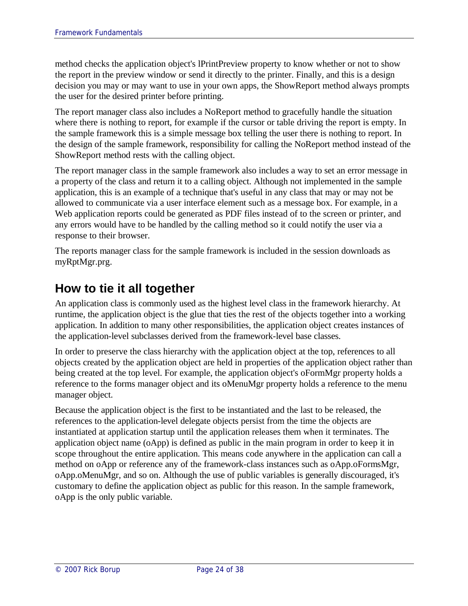method checks the application object's lPrintPreview property to know whether or not to show the report in the preview window or send it directly to the printer. Finally, and this is a design decision you may or may want to use in your own apps, the ShowReport method always prompts the user for the desired printer before printing.

The report manager class also includes a NoReport method to gracefully handle the situation where there is nothing to report, for example if the cursor or table driving the report is empty. In the sample framework this is a simple message box telling the user there is nothing to report. In the design of the sample framework, responsibility for calling the NoReport method instead of the ShowReport method rests with the calling object.

The report manager class in the sample framework also includes a way to set an error message in a property of the class and return it to a calling object. Although not implemented in the sample application, this is an example of a technique that's useful in any class that may or may not be allowed to communicate via a user interface element such as a message box. For example, in a Web application reports could be generated as PDF files instead of to the screen or printer, and any errors would have to be handled by the calling method so it could notify the user via a response to their browser.

The reports manager class for the sample framework is included in the session downloads as myRptMgr.prg.

# **How to tie it all together**

An application class is commonly used as the highest level class in the framework hierarchy. At runtime, the application object is the glue that ties the rest of the objects together into a working application. In addition to many other responsibilities, the application object creates instances of the application-level subclasses derived from the framework-level base classes.

In order to preserve the class hierarchy with the application object at the top, references to all objects created by the application object are held in properties of the application object rather than being created at the top level. For example, the application object's oFormMgr property holds a reference to the forms manager object and its oMenuMgr property holds a reference to the menu manager object.

Because the application object is the first to be instantiated and the last to be released, the references to the application-level delegate objects persist from the time the objects are instantiated at application startup until the application releases them when it terminates. The application object name (oApp) is defined as public in the main program in order to keep it in scope throughout the entire application. This means code anywhere in the application can call a method on oApp or reference any of the framework-class instances such as oApp.oFormsMgr, oApp.oMenuMgr, and so on. Although the use of public variables is generally discouraged, it's customary to define the application object as public for this reason. In the sample framework, oApp is the only public variable.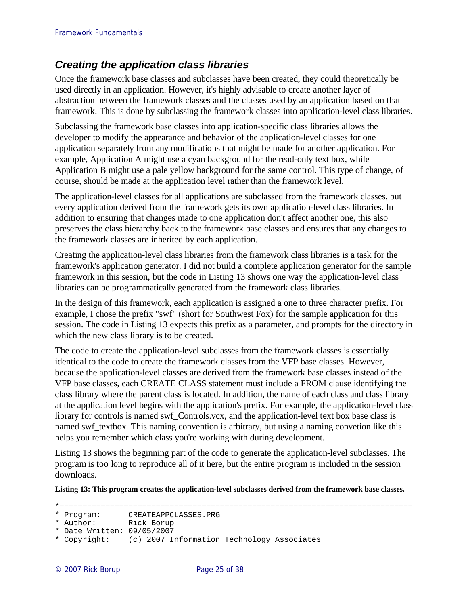### *Creating the application class libraries*

Once the framework base classes and subclasses have been created, they could theoretically be used directly in an application. However, it's highly advisable to create another layer of abstraction between the framework classes and the classes used by an application based on that framework. This is done by subclassing the framework classes into application-level class libraries.

Subclassing the framework base classes into application-specific class libraries allows the developer to modify the appearance and behavior of the application-level classes for one application separately from any modifications that might be made for another application. For example, Application A might use a cyan background for the read-only text box, while Application B might use a pale yellow background for the same control. This type of change, of course, should be made at the application level rather than the framework level.

The application-level classes for all applications are subclassed from the framework classes, but every application derived from the framework gets its own application-level class libraries. In addition to ensuring that changes made to one application don't affect another one, this also preserves the class hierarchy back to the framework base classes and ensures that any changes to the framework classes are inherited by each application.

Creating the application-level class libraries from the framework class libraries is a task for the framework's application generator. I did not build a complete application generator for the sample framework in this session, but the code in Listing 13 shows one way the application-level class libraries can be programmatically generated from the framework class libraries.

In the design of this framework, each application is assigned a one to three character prefix. For example, I chose the prefix "swf" (short for Southwest Fox) for the sample application for this session. The code in Listing 13 expects this prefix as a parameter, and prompts for the directory in which the new class library is to be created.

The code to create the application-level subclasses from the framework classes is essentially identical to the code to create the framework classes from the VFP base classes. However, because the application-level classes are derived from the framework base classes instead of the VFP base classes, each CREATE CLASS statement must include a FROM clause identifying the class library where the parent class is located. In addition, the name of each class and class library at the application level begins with the application's prefix. For example, the application-level class library for controls is named swf\_Controls.vcx, and the application-level text box base class is named swf\_textbox. This naming convention is arbitrary, but using a naming convetion like this helps you remember which class you're working with during development.

Listing 13 shows the beginning part of the code to generate the application-level subclasses. The program is too long to reproduce all of it here, but the entire program is included in the session downloads.

**Listing 13: This program creates the application-level subclasses derived from the framework base classes.**

<sup>\*=============================================================================</sup>

<sup>\*</sup> Program: CREATEAPPCLASSES.PRG

<sup>\*</sup> Author: Rick Borup

<sup>\*</sup> Date Written: 09/05/2007

<sup>\*</sup> Copyright: (c) 2007 Information Technology Associates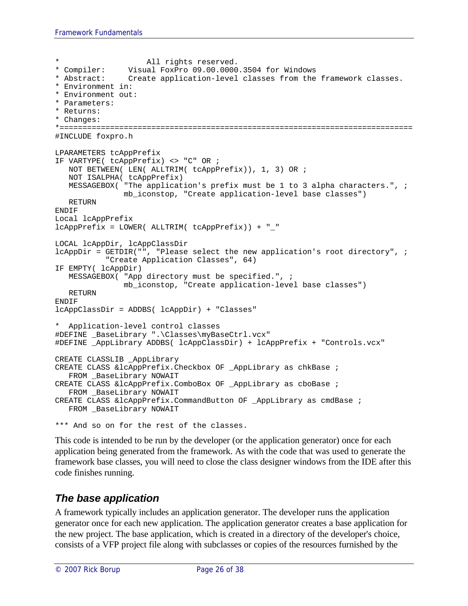```
All rights reserved.
* Compiler: Visual FoxPro 09.00.0000.3504 for Windows
* Abstract: Create application-level classes from the framework classes.
* Environment in:
* Environment out:
* Parameters:
* Returns:
* Changes:
*=============================================================================
#INCLUDE foxpro.h
LPARAMETERS tcAppPrefix
IF VARTYPE( tcAppPrefix) <> "C" OR ;
  NOT BETWEEN( LEN( ALLTRIM( tcAppPrefix)), 1, 3) OR ;
  NOT ISALPHA( tcAppPrefix)
  MESSAGEBOX( "The application's prefix must be 1 to 3 alpha characters.", ;
              mb_iconstop, "Create application-level base classes")
  RETURN
ENDIF
Local lcAppPrefix
lcAppPrefix = LOWER( ALLTRIM( tcAppPrefix)) + "_"
LOCAL lcAppDir, lcAppClassDir
lcAppDir = GETDIR("", "Please select the new application's root directory", ;
           "Create Application Classes", 64)
IF EMPTY( lcAppDir)
  MESSAGEBOX( "App directory must be specified.", ;
              mb_iconstop, "Create application-level base classes")
  RETURN
ENDIF
lcAppClassDir = ADDBS( lcAppDir) + "Classes"
  Application-level control classes
#DEFINE _BaseLibrary ".\Classes\myBaseCtrl.vcx"
#DEFINE _AppLibrary ADDBS( lcAppClassDir) + lcAppPrefix + "Controls.vcx"
CREATE CLASSLIB _AppLibrary
CREATE CLASS &lcAppPrefix.Checkbox OF _AppLibrary as chkBase ;
   FROM BaseLibrary NOWAIT
CREATE CLASS &lcAppPrefix.ComboBox OF _AppLibrary as cboBase ;
  FROM _BaseLibrary NOWAIT
CREATE CLASS &lcAppPrefix.CommandButton OF _AppLibrary as cmdBase ;
  FROM BaseLibrary NOWAIT
*** And so on for the rest of the classes.
```
This code is intended to be run by the developer (or the application generator) once for each application being generated from the framework. As with the code that was used to generate the framework base classes, you will need to close the class designer windows from the IDE after this code finishes running.

### *The base application*

A framework typically includes an application generator. The developer runs the application generator once for each new application. The application generator creates a base application for the new project. The base application, which is created in a directory of the developer's choice, consists of a VFP project file along with subclasses or copies of the resources furnished by the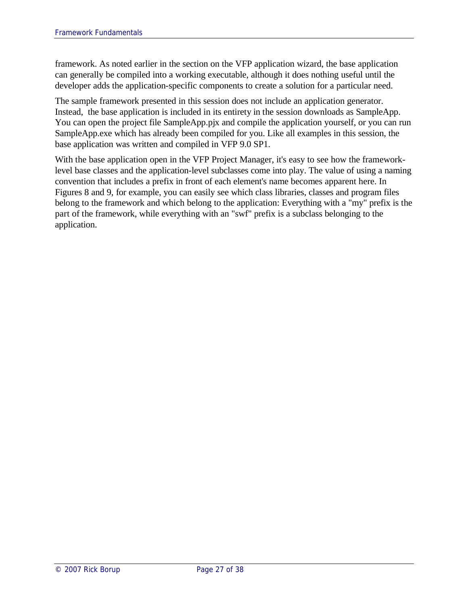framework. As noted earlier in the section on the VFP application wizard, the base application can generally be compiled into a working executable, although it does nothing useful until the developer adds the application-specific components to create a solution for a particular need.

The sample framework presented in this session does not include an application generator. Instead, the base application is included in its entirety in the session downloads as SampleApp. You can open the project file SampleApp.pjx and compile the application yourself, or you can run SampleApp.exe which has already been compiled for you. Like all examples in this session, the base application was written and compiled in VFP 9.0 SP1.

With the base application open in the VFP Project Manager, it's easy to see how the frameworklevel base classes and the application-level subclasses come into play. The value of using a naming convention that includes a prefix in front of each element's name becomes apparent here. In Figures 8 and 9, for example, you can easily see which class libraries, classes and program files belong to the framework and which belong to the application: Everything with a "my" prefix is the part of the framework, while everything with an "swf" prefix is a subclass belonging to the application.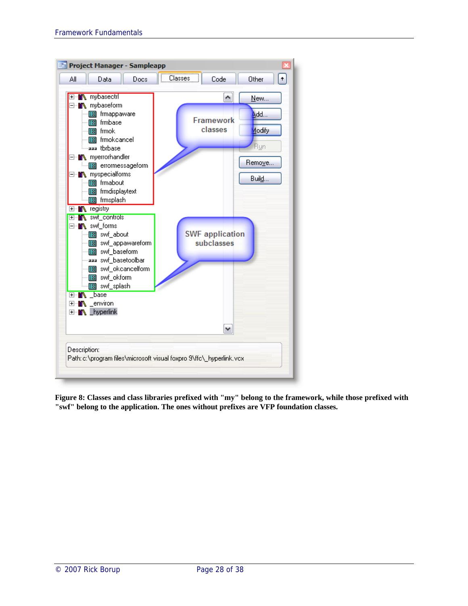

**Figure 8: Classes and class libraries prefixed with "my" belong to the framework, while those prefixed with "swf" belong to the application. The ones without prefixes are VFP foundation classes.**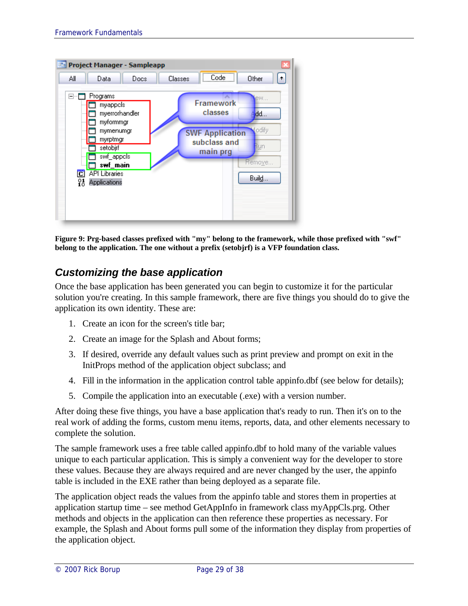

**Figure 9: Prg-based classes prefixed with "my" belong to the framework, while those prefixed with "swf" belong to the application. The one without a prefix (setobjrf) is a VFP foundation class.**

### *Customizing the base application*

Once the base application has been generated you can begin to customize it for the particular solution you're creating. In this sample framework, there are five things you should do to give the application its own identity. These are:

- 1. Create an icon for the screen's title bar;
- 2. Create an image for the Splash and About forms;
- 3. If desired, override any default values such as print preview and prompt on exit in the InitProps method of the application object subclass; and
- 4. Fill in the information in the application control table appinfo.dbf (see below for details);
- 5. Compile the application into an executable (.exe) with a version number.

After doing these five things, you have a base application that's ready to run. Then it's on to the real work of adding the forms, custom menu items, reports, data, and other elements necessary to complete the solution.

The sample framework uses a free table called appinfo.dbf to hold many of the variable values unique to each particular application. This is simply a convenient way for the developer to store these values. Because they are always required and are never changed by the user, the appinfo table is included in the EXE rather than being deployed as a separate file.

The application object reads the values from the appinfo table and stores them in properties at application startup time – see method GetAppInfo in framework class myAppCls.prg. Other methods and objects in the application can then reference these properties as necessary. For example, the Splash and About forms pull some of the information they display from properties of the application object.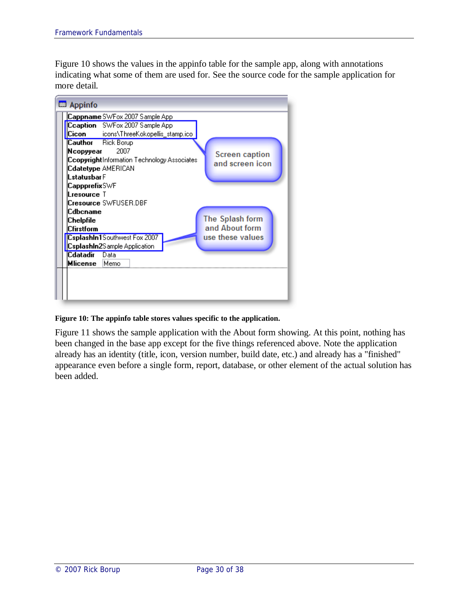Figure 10 shows the values in the appinfo table for the sample app, along with annotations indicating what some of them are used for. See the source code for the sample application for more detail.



#### **Figure 10: The appinfo table stores values specific to the application.**

Figure 11 shows the sample application with the About form showing. At this point, nothing has been changed in the base app except for the five things referenced above. Note the application already has an identity (title, icon, version number, build date, etc.) and already has a "finished" appearance even before a single form, report, database, or other element of the actual solution has been added.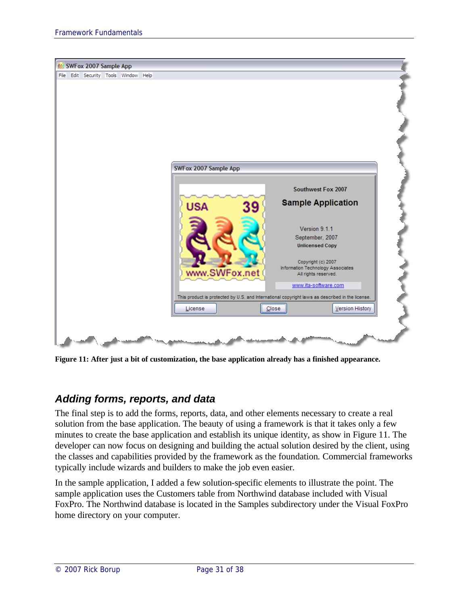

**Figure 11: After just a bit of customization, the base application already has a finished appearance.**

### *Adding forms, reports, and data*

The final step is to add the forms, reports, data, and other elements necessary to create a real solution from the base application. The beauty of using a framework is that it takes only a few minutes to create the base application and establish its unique identity, as show in Figure 11. The developer can now focus on designing and building the actual solution desired by the client, using the classes and capabilities provided by the framework as the foundation. Commercial frameworks typically include wizards and builders to make the job even easier.

In the sample application, I added a few solution-specific elements to illustrate the point. The sample application uses the Customers table from Northwind database included with Visual FoxPro. The Northwind database is located in the Samples subdirectory under the Visual FoxPro home directory on your computer.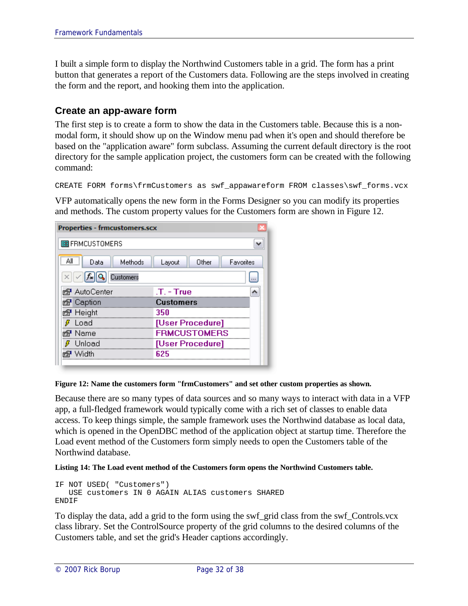I built a simple form to display the Northwind Customers table in a grid. The form has a print button that generates a report of the Customers data. Following are the steps involved in creating the form and the report, and hooking them into the application.

#### **Create an app-aware form**

The first step is to create a form to show the data in the Customers table. Because this is a nonmodal form, it should show up on the Window menu pad when it's open and should therefore be based on the "application aware" form subclass. Assuming the current default directory is the root directory for the sample application project, the customers form can be created with the following command:

```
CREATE FORM forms\frmCustomers as swf_appawareform FROM classes\swf_forms.vcx
```
VFP automatically opens the new form in the Forms Designer so you can modify its properties and methods. The custom property values for the Customers form are shown in Figure 12.

| <b>Properties - frmcustomers.scx</b>            |                              |
|-------------------------------------------------|------------------------------|
| <b>国FRMCUSTOMERS</b>                            |                              |
| Methods<br>Data                                 | Favorites<br>Other<br>Layout |
| $\times \ \sqrt{ f_{\mathbf{x}} }$<br>Customers |                              |
| කි AutoCenter                                   | $.T. - True$                 |
| <u>ා</u> Caption                                | Customers                    |
| <u>ා</u> ේ Height                               | 350                          |
| Load                                            | [User Procedure]             |
| Name                                            | <b>FRMCUSTOMERS</b>          |
| Unload                                          | [User Procedure]             |
| Width                                           | 625                          |
|                                                 |                              |

#### **Figure 12: Name the customers form "frmCustomers" and set other custom properties as shown.**

Because there are so many types of data sources and so many ways to interact with data in a VFP app, a full-fledged framework would typically come with a rich set of classes to enable data access. To keep things simple, the sample framework uses the Northwind database as local data, which is opened in the OpenDBC method of the application object at startup time. Therefore the Load event method of the Customers form simply needs to open the Customers table of the Northwind database.

#### **Listing 14: The Load event method of the Customers form opens the Northwind Customers table.**

```
IF NOT USED( "Customers")
  USE customers IN 0 AGAIN ALIAS customers SHARED 
ENDIF
```
To display the data, add a grid to the form using the swf\_grid class from the swf\_Controls.vcx class library. Set the ControlSource property of the grid columns to the desired columns of the Customers table, and set the grid's Header captions accordingly.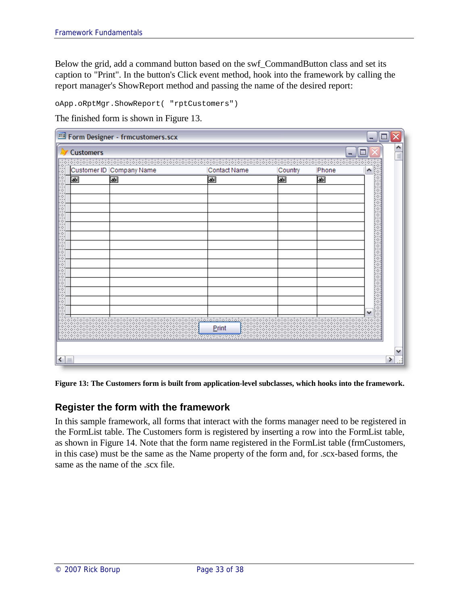Below the grid, add a command button based on the swf\_CommandButton class and set its caption to "Print". In the button's Click event method, hook into the framework by calling the report manager's ShowReport method and passing the name of the desired report:

oApp.oRptMgr.ShowReport( "rptCustomers")

The finished form is shown in Figure 13.

|    | Customer ID Company Name   | Contact Name                                       | Country                    | Phone | ۸ |
|----|----------------------------|----------------------------------------------------|----------------------------|-------|---|
| ab | $\overline{\mathbf{a}}$ bi | $\overline{\mathbf{a}}$                            | $\overline{\mathbf{a}}$ bl | 高     |   |
|    |                            |                                                    |                            |       |   |
|    |                            |                                                    |                            |       |   |
|    |                            |                                                    |                            |       |   |
|    |                            |                                                    |                            |       |   |
|    |                            |                                                    |                            |       |   |
|    |                            |                                                    |                            |       |   |
|    |                            |                                                    |                            |       |   |
|    |                            |                                                    |                            |       |   |
|    |                            |                                                    |                            |       |   |
|    |                            |                                                    |                            |       |   |
|    |                            |                                                    |                            |       |   |
|    |                            |                                                    |                            |       |   |
|    |                            | iaiaiaiaia<br>$\mathcal{L}_{\mathcal{L}}$<br>Print |                            |       |   |

**Figure 13: The Customers form is built from application-level subclasses, which hooks into the framework.**

#### **Register the form with the framework**

In this sample framework, all forms that interact with the forms manager need to be registered in the FormList table. The Customers form is registered by inserting a row into the FormList table, as shown in Figure 14. Note that the form name registered in the FormList table (frmCustomers, in this case) must be the same as the Name property of the form and, for .scx-based forms, the same as the name of the .scx file.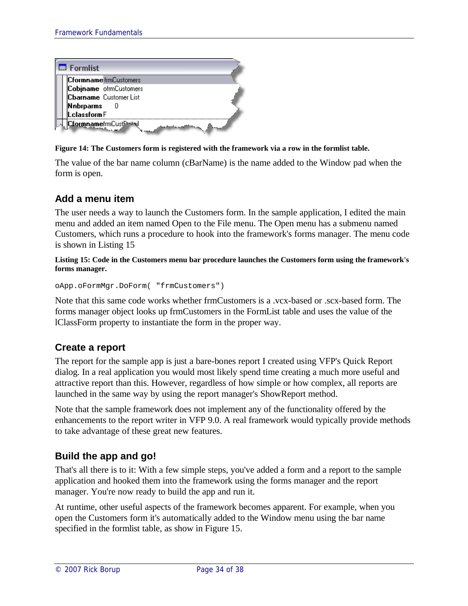

**Figure 14: The Customers form is registered with the framework via a row in the formlist table.**

The value of the bar name column (cBarName) is the name added to the Window pad when the form is open.

### **Add a menu item**

The user needs a way to launch the Customers form. In the sample application, I edited the main menu and added an item named Open to the File menu. The Open menu has a submenu named Customers, which runs a procedure to hook into the framework's forms manager. The menu code is shown in Listing 15

**Listing 15: Code in the Customers menu bar procedure launches the Customers form using the framework's forms manager.**

oApp.oFormMgr.DoForm( "frmCustomers")

Note that this same code works whether frmCustomers is a .vcx-based or .scx-based form. The forms manager object looks up frmCustomers in the FormList table and uses the value of the lClassForm property to instantiate the form in the proper way.

#### **Create a report**

The report for the sample app is just a bare-bones report I created using VFP's Quick Report dialog. In a real application you would most likely spend time creating a much more useful and attractive report than this. However, regardless of how simple or how complex, all reports are launched in the same way by using the report manager's ShowReport method.

Note that the sample framework does not implement any of the functionality offered by the enhancements to the report writer in VFP 9.0. A real framework would typically provide methods to take advantage of these great new features.

### **Build the app and go!**

That's all there is to it: With a few simple steps, you've added a form and a report to the sample application and hooked them into the framework using the forms manager and the report manager. You're now ready to build the app and run it.

At runtime, other useful aspects of the framework becomes apparent. For example, when you open the Customers form it's automatically added to the Window menu using the bar name specified in the formlist table, as show in Figure 15.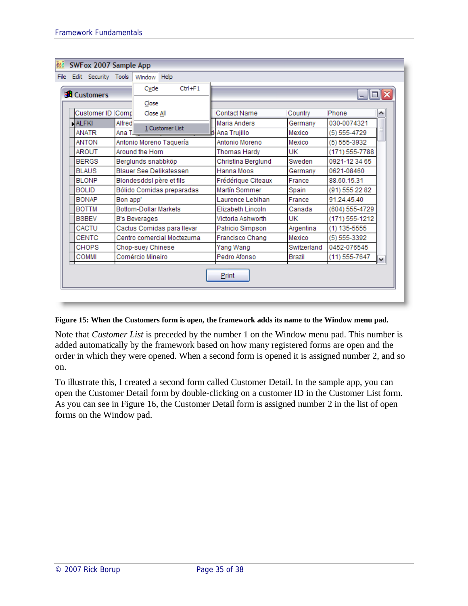|       |       | SWFox 2007 Sample App<br>File Edit Security Tools Window Help                         |               |                              |                            |                    |                     |                |                   |              |
|-------|-------|---------------------------------------------------------------------------------------|---------------|------------------------------|----------------------------|--------------------|---------------------|----------------|-------------------|--------------|
|       |       |                                                                                       |               |                              |                            |                    |                     |                |                   |              |
|       |       | $Ctr1 + F1$<br>Cycle<br><b>Execution Executer</b><br>10<br>e.                         |               |                              |                            |                    |                     |                |                   |              |
| Close |       |                                                                                       |               |                              |                            |                    |                     |                |                   |              |
|       |       | Customer ID Comp                                                                      |               | Close All                    |                            |                    | <b>Contact Name</b> | Country        | Phone             |              |
|       | ALFKI |                                                                                       | Alfred        |                              |                            |                    | Maria Anders        | Germany        | 030-0074321       |              |
|       |       | <b>ANATR</b>                                                                          | Ana T.        |                              | 1 Customer List            |                    | Ana Trujillo        | Mexico         | (5) 555-4729      |              |
|       |       | <b>ANTON</b>                                                                          |               |                              | Antonio Moreno Taquería    |                    | Antonio Moreno      | Mexico         | $(5) 555 - 3932$  |              |
|       |       | <b>AROUT</b>                                                                          |               | Around the Horn              |                            |                    | <b>Thomas Hardy</b> | UK             | (171) 555-7788    |              |
|       |       | <b>BERGS</b><br>Berglunds snabbköp<br><b>BLAUS</b><br>Blauer See Delikatessen         |               |                              |                            |                    | Christina Berglund  | Sweden         | 0921-12 34 65     |              |
|       |       |                                                                                       |               |                              |                            |                    | Hanna Moos          | Germany        | 0621-08460        |              |
|       |       | <b>BLONP</b><br>Blondesddsl père et fils<br><b>BOLID</b><br>Bólido Comidas preparadas |               |                              |                            | Frédérique Citeaux | France              | 88.60.15.31    |                   |              |
|       |       |                                                                                       |               |                              |                            | Martín Sommer      | Spain               | (91) 555 22 82 |                   |              |
|       |       | <b>BONAP</b>                                                                          | Bon app'      |                              |                            |                    | Laurence Lebihan    | France         | 91.24.45.40       |              |
|       |       | <b>BOTTM</b>                                                                          |               | <b>Bottom-Dollar Markets</b> |                            |                    | Elizabeth Lincoln   | Canada         | (604) 555-4729    |              |
|       |       | <b>BSBEV</b>                                                                          | B's Beverages |                              |                            | Victoria Ashworth  | UK                  | (171) 555-1212 |                   |              |
|       |       | CACTU                                                                                 |               |                              | Cactus Comidas para llevar |                    | Patricio Simpson    | Argentina      | $(1)$ 135-5555    |              |
|       |       | <b>CENTC</b>                                                                          |               |                              | Centro comercial Moctezuma |                    | Francisco Chang     | Mexico         | (5) 555-3392      |              |
|       |       | <b>CHOPS</b>                                                                          |               | Chop-suey Chinese            |                            |                    | Yang Wang           | Switzerland    | 0452-076545       |              |
|       |       | <b>COMMI</b>                                                                          |               | Comércio Mineiro             |                            |                    | Pedro Afonso        | Brazil         | $(11) 555 - 7647$ | $\checkmark$ |
|       |       |                                                                                       |               |                              |                            |                    | Print               |                |                   |              |

#### **Figure 15: When the Customers form is open, the framework adds its name to the Window menu pad.**

Note that *Customer List* is preceded by the number 1 on the Window menu pad. This number is added automatically by the framework based on how many registered forms are open and the order in which they were opened. When a second form is opened it is assigned number 2, and so on.

To illustrate this, I created a second form called Customer Detail. In the sample app, you can open the Customer Detail form by double-clicking on a customer ID in the Customer List form. As you can see in Figure 16, the Customer Detail form is assigned number 2 in the list of open forms on the Window pad.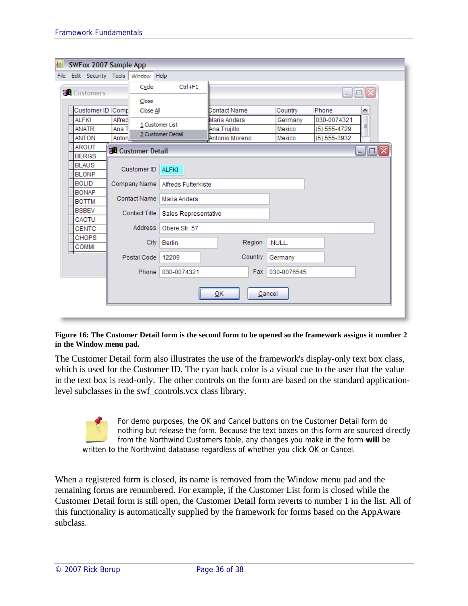|              | SWFox 2007 Sample App    |        |                          |                            |  |                           |             |                  |                        |
|--------------|--------------------------|--------|--------------------------|----------------------------|--|---------------------------|-------------|------------------|------------------------|
|              | File Edit Security Tools |        | Window Help              |                            |  |                           |             |                  |                        |
|              | <b>Customers</b>         |        | Cycle                    | $Ctr1 + F1$                |  |                           |             |                  | _  O ×                 |
|              |                          |        | Close                    |                            |  |                           |             |                  |                        |
|              | Customer ID Comp         |        | Close All                |                            |  | Contact Name              | Country     | Phone            | ۸                      |
| <b>ALFKI</b> |                          | Alfred |                          |                            |  | Maria Anders              | Germany     | 030-0074321      |                        |
|              | <b>ANATR</b>             | Ana T  |                          | 1 Customer List            |  | Ana Trujillo              | Mexico      | $(5) 555 - 4729$ | ≣                      |
|              | <b>ANTON</b>             | Anton. |                          | 2 Customer Detail          |  | Antonio Moreno            | Mexico      | $(5) 555 - 3932$ |                        |
|              | <b>AROUT</b>             |        | <b>R</b> Customer Detail |                            |  |                           |             |                  | $\Box$ $\Box$ $\times$ |
|              | <b>BERGS</b>             |        |                          |                            |  |                           |             |                  |                        |
|              | <b>BLAUS</b>             |        | Customer ID              | <b>ALFKI</b>               |  |                           |             |                  |                        |
|              | <b>BLONP</b>             |        |                          |                            |  |                           |             |                  |                        |
|              | <b>BOLID</b>             |        | Company Name             | <b>Alfreds Futterkiste</b> |  |                           |             |                  |                        |
|              | <b>BONAP</b>             |        | Contact Name             |                            |  |                           |             |                  |                        |
|              | <b>BOTTM</b>             |        |                          | Maria Anders               |  |                           |             |                  |                        |
|              | <b>BSBEV</b>             |        | <b>Contact Title</b>     | Sales Representative       |  |                           |             |                  |                        |
|              | CACTU                    |        |                          |                            |  |                           |             |                  |                        |
|              | <b>CENTC</b>             |        | Address                  | Obere Str. 57              |  |                           |             |                  |                        |
|              | <b>CHOPS</b>             |        | <b>City</b>              | <b>Berlin</b>              |  | Region                    | .NULL.      |                  |                        |
|              | <b>COMMI</b>             |        |                          |                            |  |                           |             |                  |                        |
|              |                          |        | Postal Code              | 12209                      |  | Country                   | Germany     |                  |                        |
|              |                          |        |                          | Phone 030-0074321          |  | Fax                       | 030-0076545 |                  |                        |
|              |                          |        |                          |                            |  | $\underline{\mathsf{QK}}$ | Cancel      |                  |                        |
|              |                          |        |                          |                            |  |                           |             |                  |                        |

#### **Figure 16: The Customer Detail form is the second form to be opened so the framework assigns it number 2 in the Window menu pad.**

The Customer Detail form also illustrates the use of the framework's display-only text box class, which is used for the Customer ID. The cyan back color is a visual cue to the user that the value in the text box is read-only. The other controls on the form are based on the standard applicationlevel subclasses in the swf\_controls.vcx class library.

For demo purposes, the OK and Cancel buttons on the Customer Detail form do nothing but release the form. Because the text boxes on this form are sourced directly from the Northwind Customers table, any changes you make in the form **will** be written to the Northwind database regardless of whether you click OK or Cancel.

When a registered form is closed, its name is removed from the Window menu pad and the remaining forms are renumbered. For example, if the Customer List form is closed while the Customer Detail form is still open, the Customer Detail form reverts to number 1 in the list. All of this functionality is automatically supplied by the framework for forms based on the AppAware subclass.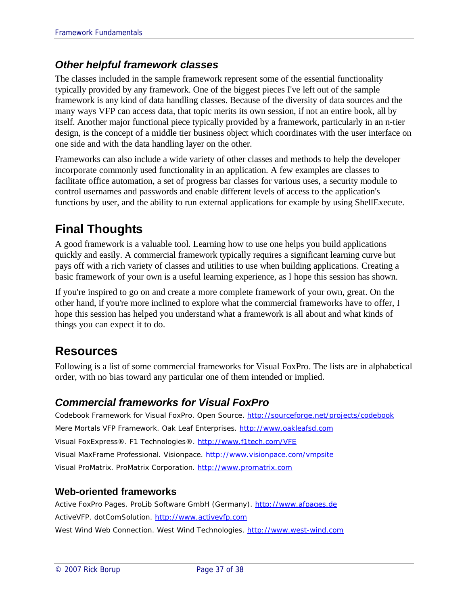### *Other helpful framework classes*

The classes included in the sample framework represent some of the essential functionality typically provided by any framework. One of the biggest pieces I've left out of the sample framework is any kind of data handling classes. Because of the diversity of data sources and the many ways VFP can access data, that topic merits its own session, if not an entire book, all by itself. Another major functional piece typically provided by a framework, particularly in an n-tier design, is the concept of a middle tier business object which coordinates with the user interface on one side and with the data handling layer on the other.

Frameworks can also include a wide variety of other classes and methods to help the developer incorporate commonly used functionality in an application. A few examples are classes to facilitate office automation, a set of progress bar classes for various uses, a security module to control usernames and passwords and enable different levels of access to the application's functions by user, and the ability to run external applications for example by using ShellExecute.

# **Final Thoughts**

A good framework is a valuable tool. Learning how to use one helps you build applications quickly and easily. A commercial framework typically requires a significant learning curve but pays off with a rich variety of classes and utilities to use when building applications. Creating a basic framework of your own is a useful learning experience, as I hope this session has shown.

If you're inspired to go on and create a more complete framework of your own, great. On the other hand, if you're more inclined to explore what the commercial frameworks have to offer, I hope this session has helped you understand what a framework is all about and what kinds of things you can expect it to do.

# **Resources**

Following is a list of some commercial frameworks for Visual FoxPro. The lists are in alphabetical order, with no bias toward any particular one of them intended or implied.

### *Commercial frameworks for Visual FoxPro*

*Codebook Framework for Visual FoxPro*. Open Source. http://sourceforge.net/projects/codebook *Mere Mortals VFP Framework*. Oak Leaf Enterprises. http://www.oakleafsd.com *Visual FoxExpress*®. F1 Technologies®. http://www.f1tech.com/VFE *Visual MaxFrame Professional*. Visionpace. http://www.visionpace.com/vmpsite *Visual ProMatrix*. ProMatrix Corporation. http://www.promatrix.com

#### **Web-oriented frameworks**

*Active FoxPro Pages*. ProLib Software GmbH (Germany). http://www.afpages.de *ActiveVFP*. dotComSolution. http://www.activevfp.com *West Wind Web Connection*. West Wind Technologies. http://www.west-wind.com